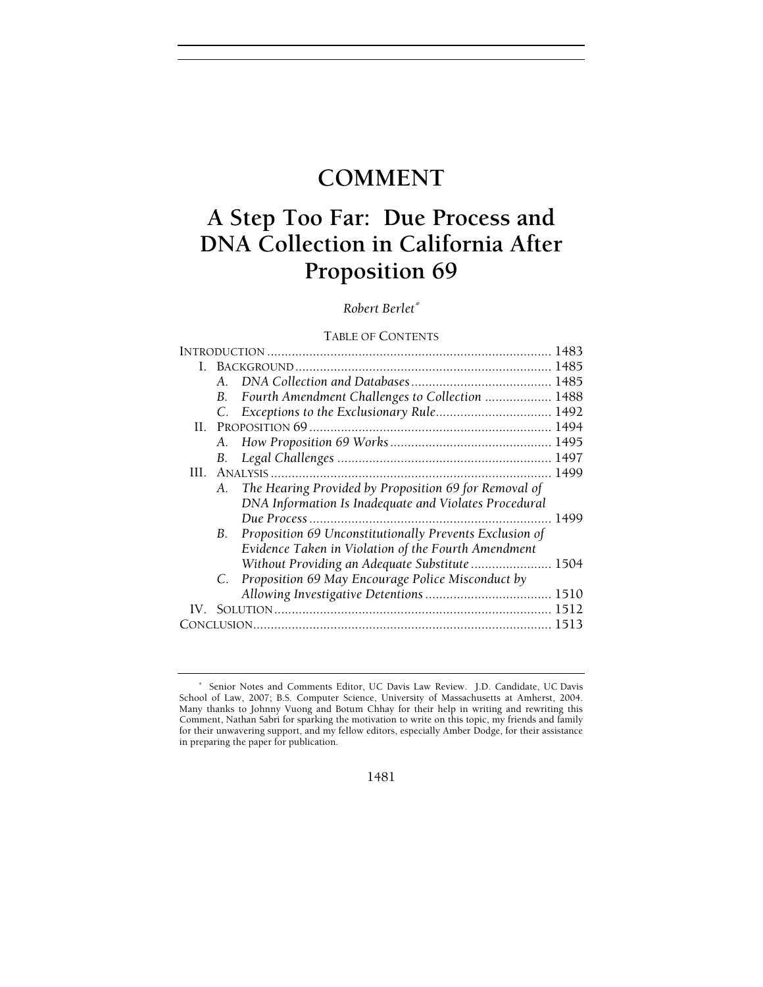## **COMMENT**

# **A Step Too Far: Due Process and DNA Collection in California After Proposition 69**

*Robert Berlet*<sup>∗</sup>

## TABLE OF CONTENTS

| L.       |             |                                                            |      |
|----------|-------------|------------------------------------------------------------|------|
|          | $A_{\cdot}$ |                                                            |      |
|          |             | B. Fourth Amendment Challenges to Collection  1488         |      |
|          |             |                                                            |      |
| H.       |             |                                                            |      |
|          |             |                                                            |      |
|          | В.          |                                                            |      |
| HL.      |             |                                                            |      |
|          | А.          | The Hearing Provided by Proposition 69 for Removal of      |      |
|          |             | DNA Information Is Inadequate and Violates Procedural      |      |
|          |             |                                                            | 1499 |
|          |             | B. Proposition 69 Unconstitutionally Prevents Exclusion of |      |
|          |             | Evidence Taken in Violation of the Fourth Amendment        |      |
|          |             | Without Providing an Adequate Substitute  1504             |      |
|          | C.          | Proposition 69 May Encourage Police Misconduct by          |      |
|          |             |                                                            |      |
| $IV_{-}$ |             |                                                            |      |
|          |             |                                                            | 1513 |
|          |             |                                                            |      |

1481

<sup>∗</sup> Senior Notes and Comments Editor, UC Davis Law Review. J.D. Candidate, UC Davis School of Law, 2007; B.S. Computer Science, University of Massachusetts at Amherst, 2004. Many thanks to Johnny Vuong and Botum Chhay for their help in writing and rewriting this Comment, Nathan Sabri for sparking the motivation to write on this topic, my friends and family for their unwavering support, and my fellow editors, especially Amber Dodge, for their assistance in preparing the paper for publication.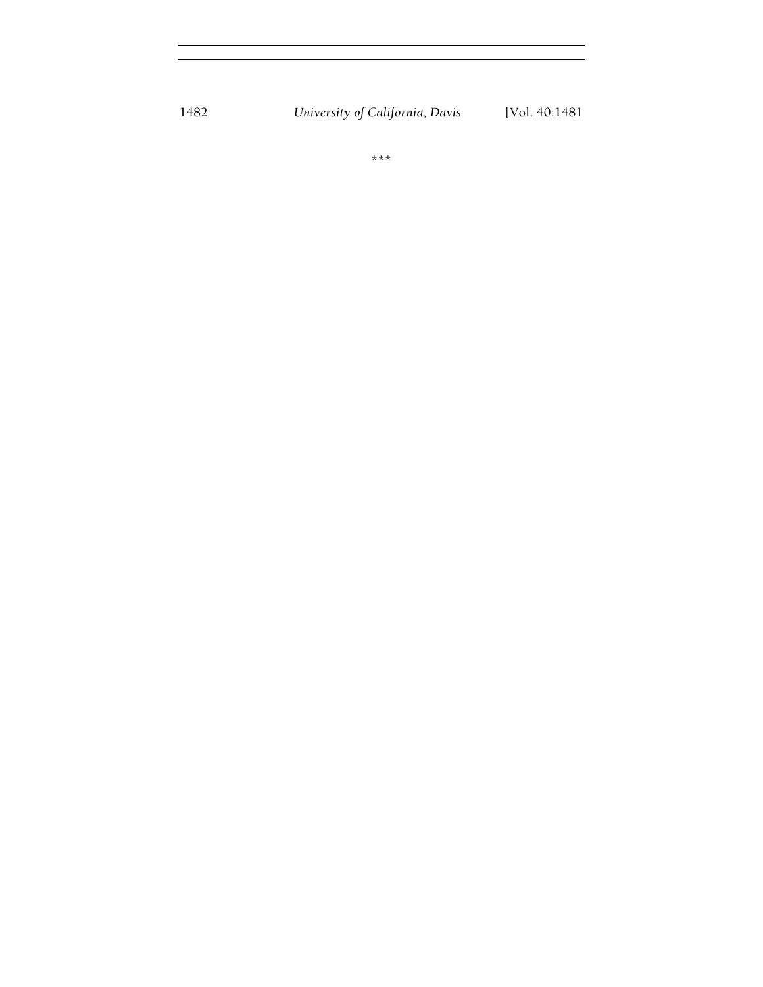1482 *University of California, Davis* [Vol. 40:1481

\*\*\*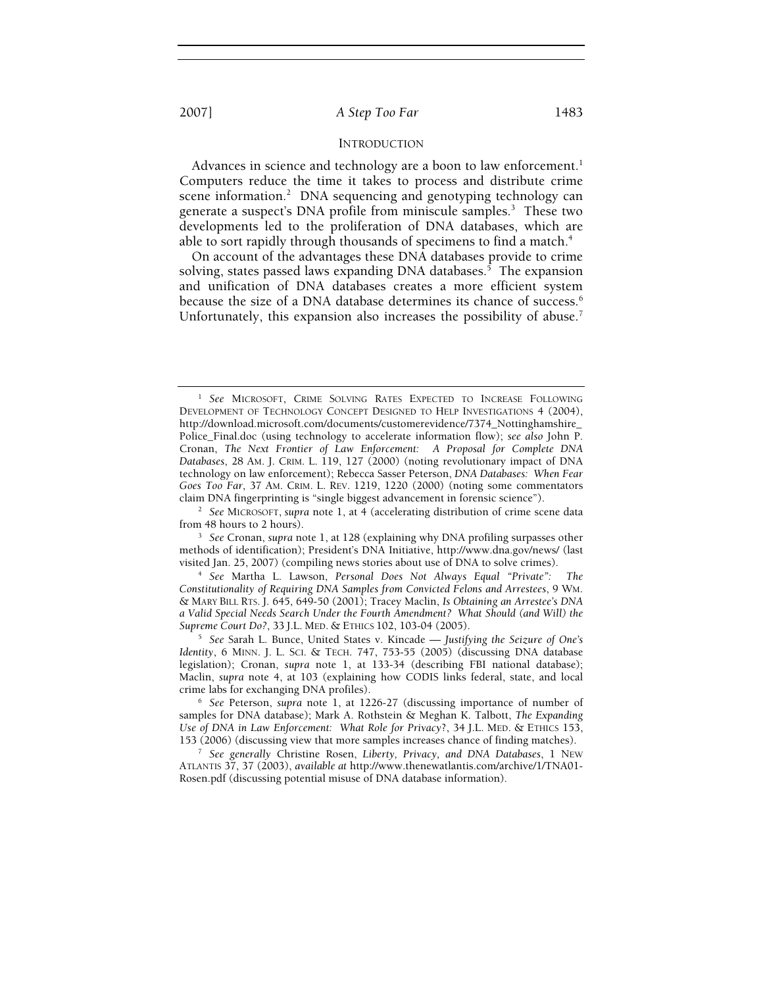#### INTRODUCTION

Advances in science and technology are a boon to law enforcement.<sup>1</sup> Computers reduce the time it takes to process and distribute crime scene information.<sup>2</sup> DNA sequencing and genotyping technology can generate a suspect's DNA profile from miniscule samples.<sup>3</sup> These two developments led to the proliferation of DNA databases, which are able to sort rapidly through thousands of specimens to find a match.<sup>4</sup>

On account of the advantages these DNA databases provide to crime solving, states passed laws expanding DNA databases.<sup>5</sup> The expansion and unification of DNA databases creates a more efficient system because the size of a DNA database determines its chance of success.<sup>6</sup> Unfortunately, this expansion also increases the possibility of abuse.<sup>7</sup>

<sup>&</sup>lt;sup>1</sup> See MICROSOFT, CRIME SOLVING RATES EXPECTED TO INCREASE FOLLOWING DEVELOPMENT OF TECHNOLOGY CONCEPT DESIGNED TO HELP INVESTIGATIONS 4 (2004), http://download.microsoft.com/documents/customerevidence/7374\_Nottinghamshire\_ Police\_Final.doc (using technology to accelerate information flow); *see also* John P. Cronan, *The Next Frontier of Law Enforcement: A Proposal for Complete DNA Databases*, 28 AM. J. CRIM. L. 119, 127 (2000) (noting revolutionary impact of DNA technology on law enforcement); Rebecca Sasser Peterson, *DNA Databases: When Fear Goes Too Far*, 37 AM. CRIM. L. REV. 1219, 1220 (2000) (noting some commentators claim DNA fingerprinting is "single biggest advancement in forensic science"). 2

*See* MICROSOFT, *supra* note 1, at 4 (accelerating distribution of crime scene data from 48 hours to 2 hours).

*See* Cronan, *supra* note 1, at 128 (explaining why DNA profiling surpasses other methods of identification); President's DNA Initiative, http://www.dna.gov/news/ (last visited Jan. 25, 2007) (compiling news stories about use of DNA to solve crimes). 4

*See* Martha L. Lawson, *Personal Does Not Always Equal "Private": The Constitutionality of Requiring DNA Samples from Convicted Felons and Arrestees*, 9 WM. & MARY BILL RTS. J. 645, 649-50 (2001); Tracey Maclin, *Is Obtaining an Arrestee's DNA a Valid Special Needs Search Under the Fourth Amendment? What Should (and Will) the Supreme Court Do?*, 33 J.L. MED. & ETHICS 102, 103-04 (2005). 5

*See* Sarah L. Bunce, United States v. Kincade — *Justifying the Seizure of One's Identity*, 6 MINN. J. L. SCI. & TECH. 747, 753-55 (2005) (discussing DNA database legislation); Cronan, *supra* note 1, at 133-34 (describing FBI national database); Maclin, *supra* note 4, at 103 (explaining how CODIS links federal, state, and local crime labs for exchanging DNA profiles). 6

*See* Peterson, *supra* note 1, at 1226-27 (discussing importance of number of samples for DNA database); Mark A. Rothstein & Meghan K. Talbott, *The Expanding Use of DNA in Law Enforcement: What Role for Privacy*?, 34 J.L. MED. & ETHICS 153, 153 (2006) (discussing view that more samples increases chance of finding matches). 7

*See generally* Christine Rosen, *Liberty, Privacy, and DNA Databases*, 1 NEW ATLANTIS 37, 37 (2003), *available at* http://www.thenewatlantis.com/archive/1/TNA01- Rosen.pdf (discussing potential misuse of DNA database information).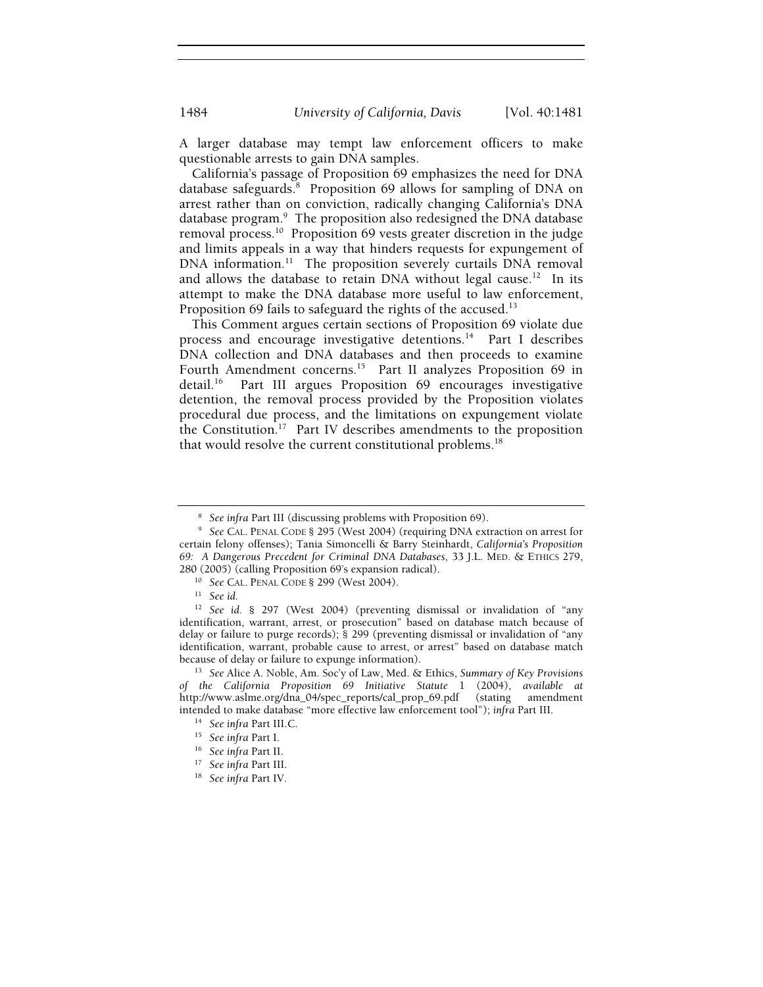A larger database may tempt law enforcement officers to make questionable arrests to gain DNA samples.

California's passage of Proposition 69 emphasizes the need for DNA database safeguards.<sup>8</sup> Proposition 69 allows for sampling of DNA on arrest rather than on conviction, radically changing California's DNA database program.<sup>9</sup> The proposition also redesigned the DNA database removal process.<sup>10</sup> Proposition 69 vests greater discretion in the judge and limits appeals in a way that hinders requests for expungement of DNA information.<sup>11</sup> The proposition severely curtails DNA removal and allows the database to retain DNA without legal cause.<sup>12</sup> In its attempt to make the DNA database more useful to law enforcement, Proposition 69 fails to safeguard the rights of the accused.<sup>13</sup>

This Comment argues certain sections of Proposition 69 violate due process and encourage investigative detentions.<sup>14</sup> Part I describes DNA collection and DNA databases and then proceeds to examine Fourth Amendment concerns.<sup>15</sup> Part II analyzes Proposition 69 in detail.<sup>16</sup> Part III argues Proposition 69 encourages investigative detention, the removal process provided by the Proposition violates procedural due process, and the limitations on expungement violate the Constitution.<sup>17</sup> Part IV describes amendments to the proposition that would resolve the current constitutional problems.<sup>18</sup>

<sup>&</sup>lt;sup>8</sup> See infra Part III (discussing problems with Proposition 69).<br><sup>9</sup> See CAL PENAL CODE 8 295 (West 2004) (requiring DNA ext

*See* CAL. PENAL CODE § 295 (West 2004) (requiring DNA extraction on arrest for certain felony offenses); Tania Simoncelli & Barry Steinhardt, *California's Proposition 69: A Dangerous Precedent for Criminal DNA Databases*, 33 J.L. MED. & ETHICS 279, 280 (2005) (calling Proposition 69's expansion radical). 10 *See* CAL. PENAL CODE § 299 (West 2004). 11 *See id.*

<sup>12</sup> *See id.* § 297 (West 2004) (preventing dismissal or invalidation of "any identification, warrant, arrest, or prosecution" based on database match because of delay or failure to purge records); § 299 (preventing dismissal or invalidation of "any identification, warrant, probable cause to arrest, or arrest" based on database match because of delay or failure to expunge information). 13 *See* Alice A. Noble, Am. Soc'y of Law, Med. & Ethics, *Summary of Key Provisions* 

*of the California Proposition 69 Initiative Statute* 1 (2004), *available at*  http://www.aslme.org/dna\_04/spec\_reports/cal\_prop\_69.pdf (stating amendment intended to make database "more effective law enforcement tool"); infra Part III.<br>
<sup>14</sup> See infra Part III.C.<br>
<sup>15</sup> See infra Part I.<br>
<sup>15</sup> See infra Part II.<br>
<sup>16</sup> See infra Part II.<br>
<sup>17</sup> See infra Part III.<br>
<sup>18</sup> See in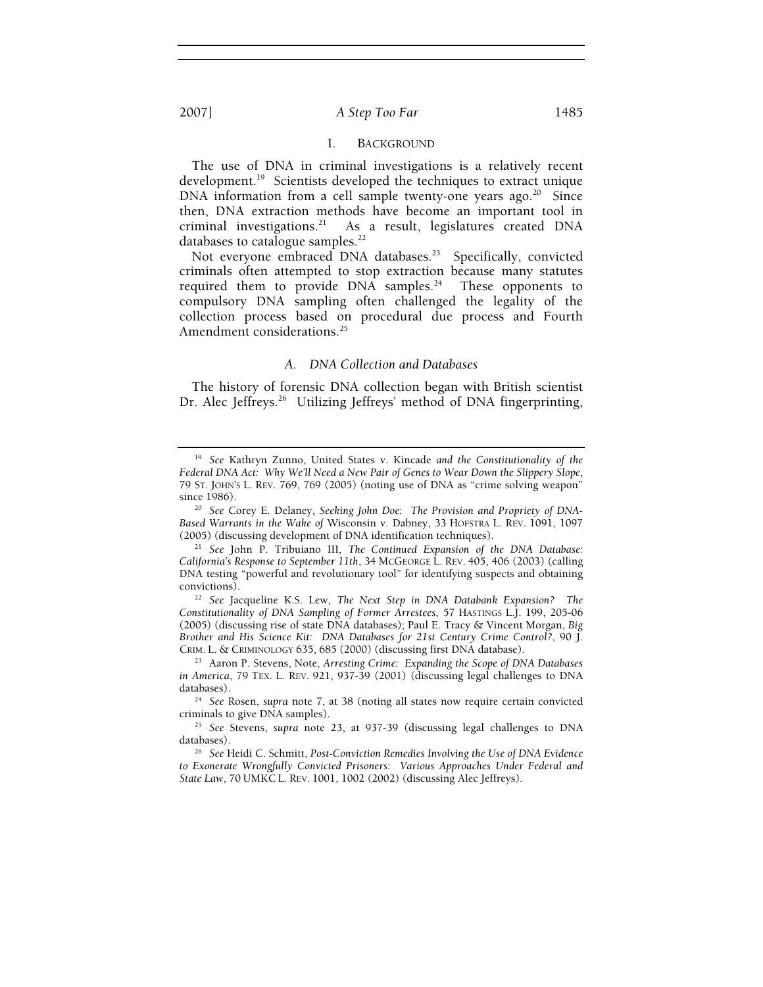## I. BACKGROUND

The use of DNA in criminal investigations is a relatively recent development.<sup>19</sup> Scientists developed the techniques to extract unique DNA information from a cell sample twenty-one years ago.<sup>20</sup> Since then, DNA extraction methods have become an important tool in criminal investigations.<sup>21</sup> As a result, legislatures created DNA As a result, legislatures created DNA databases to catalogue samples.<sup>22</sup>

Not everyone embraced DNA databases.<sup>23</sup> Specifically, convicted criminals often attempted to stop extraction because many statutes required them to provide  $DNA$  samples.<sup>24</sup> These opponents to compulsory DNA sampling often challenged the legality of the collection process based on procedural due process and Fourth Amendment considerations.<sup>25</sup>

#### *A. DNA Collection and Databases*

The history of forensic DNA collection began with British scientist Dr. Alec Jeffreys.<sup>26</sup> Utilizing Jeffreys' method of DNA fingerprinting,

<sup>19</sup> *See* Kathryn Zunno, United States v. Kincade *and the Constitutionality of the Federal DNA Act: Why We'll Need a New Pair of Genes to Wear Down the Slippery Slope*, 79 ST. JOHN'S L. REV. 769, 769 (2005) (noting use of DNA as "crime solving weapon"

<sup>&</sup>lt;sup>20</sup> See Corey E. Delaney, Seeking John Doe: The Provision and Propriety of DNA-*Based Warrants in the Wake of* Wisconsin v. Dabney, 33 HOFSTRA L. REV. 1091, 1097 (2005) (discussing development of DNA identification techniques). 21 *See* John P. Tribuiano III, *The Continued Expansion of the DNA Database:* 

*California's Response to September 11th*, 34 MCGEORGE L. REV. 405, 406 (2003) (calling DNA testing "powerful and revolutionary tool" for identifying suspects and obtaining

<sup>&</sup>lt;sup>22</sup> See Jacqueline K.S. Lew, *The Next Step in DNA Databank Expansion?* The *Constitutionality of DNA Sampling of Former Arrestees*, 57 HASTINGS L.J. 199, 205-06 (2005) (discussing rise of state DNA databases); Paul E. Tracy & Vincent Morgan, *Big Brother and His Science Kit: DNA Databases for 21st Century Crime Control?*, 90 J.

<sup>&</sup>lt;sup>23</sup> Aaron P. Stevens, Note, *Arresting Crime: Expanding the Scope of DNA Databases in America*, 79 TEX. L. REV. 921, 937-39 (2001) (discussing legal challenges to DNA databases).

<sup>&</sup>lt;sup>24</sup> See Rosen, supra note 7, at 38 (noting all states now require certain convicted criminals to give DNA samples). 25 *See* Stevens, *supra* note 23, at 937-39 (discussing legal challenges to DNA

databases). 26 *See* Heidi C. Schmitt, *Post-Conviction Remedies Involving the Use of DNA Evidence* 

*to Exonerate Wrongfully Convicted Prisoners: Various Approaches Under Federal and State Law*, 70 UMKC L. REV. 1001, 1002 (2002) (discussing Alec Jeffreys).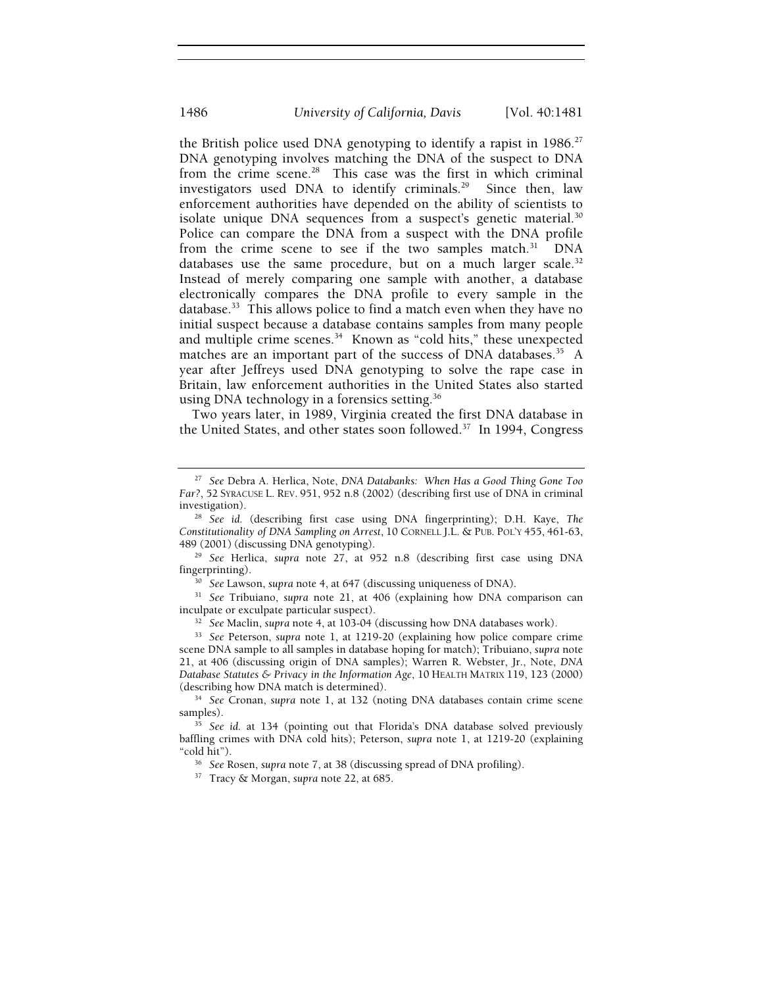the British police used DNA genotyping to identify a rapist in  $1986.^{27}$ DNA genotyping involves matching the DNA of the suspect to DNA from the crime scene.<sup>28</sup> This case was the first in which criminal investigators used DNA to identify criminals.<sup>29</sup> Since then, law enforcement authorities have depended on the ability of scientists to isolate unique DNA sequences from a suspect's genetic material.<sup>30</sup> Police can compare the DNA from a suspect with the DNA profile from the crime scene to see if the two samples match.<sup>31</sup> DNA databases use the same procedure, but on a much larger scale.<sup>32</sup> Instead of merely comparing one sample with another, a database electronically compares the DNA profile to every sample in the database.33 This allows police to find a match even when they have no initial suspect because a database contains samples from many people and multiple crime scenes.<sup>34</sup> Known as "cold hits," these unexpected matches are an important part of the success of DNA databases.<sup>35</sup> A year after Jeffreys used DNA genotyping to solve the rape case in Britain, law enforcement authorities in the United States also started using DNA technology in a forensics setting.<sup>36</sup>

Two years later, in 1989, Virginia created the first DNA database in the United States, and other states soon followed.37 In 1994, Congress

(describing how DNA match is determined). 34 *See* Cronan, *supra* note 1, at 132 (noting DNA databases contain crime scene samples).<br><sup>35</sup> See id. at 134 (pointing out that Florida's DNA database solved previously

<sup>27</sup> *See* Debra A. Herlica, Note, *DNA Databanks: When Has a Good Thing Gone Too Far?*, 52 SYRACUSE L. REV. 951, 952 n.8 (2002) (describing first use of DNA in criminal

investigation). 28 *See id.* (describing first case using DNA fingerprinting); D.H. Kaye, *The Constitutionality of DNA Sampling on Arrest*, 10 CORNELL J.L. & PUB. POL'Y 455, 461-63,

<sup>&</sup>lt;sup>29</sup> See Herlica, *supra* note 27, at 952 n.8 (describing first case using DNA fingerprinting).

<sup>&</sup>lt;sup>30</sup> See Lawson, *supra* note 4, at 647 (discussing uniqueness of DNA).<br><sup>31</sup> See Tribuiano, *supra* note 21, at 406 (explaining how DNA comparison can inculpate or exculpate particular suspect).

<sup>&</sup>lt;sup>32</sup> See Maclin, supra note 4, at 103-04 (discussing how DNA databases work).<br><sup>33</sup> See Peterson, supra note 1, at 1219-20 (explaining how police compare crime scene DNA sample to all samples in database hoping for match); Tribuiano, *supra* note 21, at 406 (discussing origin of DNA samples); Warren R. Webster, Jr., Note, *DNA Database Statutes & Privacy in the Information Age*, 10 HEALTH MATRIX 119, 123 (2000)

baffling crimes with DNA cold hits); Peterson, *supra* note 1, at 1219-20 (explaining "cold hit"). 36 *See* Rosen, *supra* note 7, at 38 (discussing spread of DNA profiling). 37 Tracy & Morgan, *supra* note 22, at 685.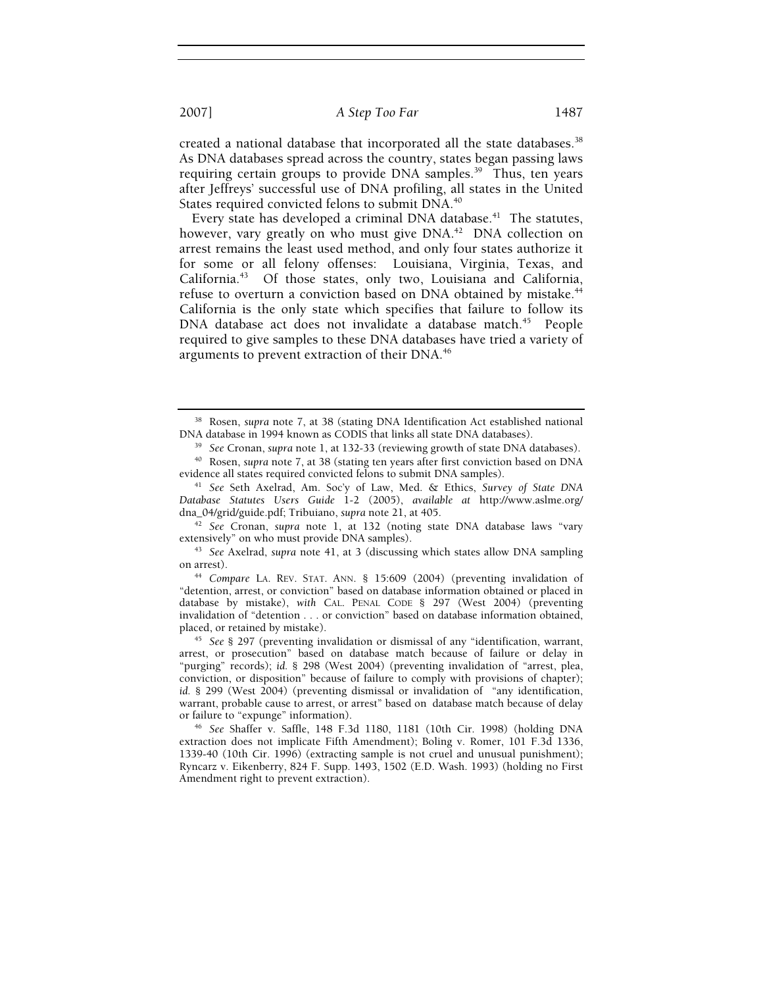created a national database that incorporated all the state databases.<sup>38</sup> As DNA databases spread across the country, states began passing laws requiring certain groups to provide DNA samples.<sup>39</sup> Thus, ten years after Jeffreys' successful use of DNA profiling, all states in the United States required convicted felons to submit DNA.<sup>40</sup>

Every state has developed a criminal DNA database.<sup>41</sup> The statutes, however, vary greatly on who must give DNA.<sup>42</sup> DNA collection on arrest remains the least used method, and only four states authorize it for some or all felony offenses: Louisiana, Virginia, Texas, and California.<sup>43</sup> Of those states, only two, Louisiana and California, refuse to overturn a conviction based on DNA obtained by mistake.<sup>44</sup> California is the only state which specifies that failure to follow its DNA database act does not invalidate a database match.<sup>45</sup> People required to give samples to these DNA databases have tried a variety of arguments to prevent extraction of their DNA.<sup>46</sup>

<sup>42</sup> See Cronan, *supra* note 1, at 132 (noting state DNA database laws "vary extensively" on who must provide DNA samples).

<sup>43</sup> See Axelrad, *supra* note 41, at 3 (discussing which states allow DNA sampling on arrest). 44 *Compare* LA. REV. STAT. ANN. § 15:609 (2004) (preventing invalidation of

"detention, arrest, or conviction" based on database information obtained or placed in database by mistake), *with* CAL. PENAL CODE § 297 (West 2004) (preventing invalidation of "detention . . . or conviction" based on database information obtained, placed, or retained by mistake). 45 *See* § 297 (preventing invalidation or dismissal of any "identification, warrant,

arrest, or prosecution" based on database match because of failure or delay in "purging" records); *id.* § 298 (West 2004) (preventing invalidation of "arrest, plea, conviction, or disposition" because of failure to comply with provisions of chapter); *id.* § 299 (West 2004) (preventing dismissal or invalidation of "any identification, warrant, probable cause to arrest, or arrest" based on database match because of delay or failure to "expunge" information).

<sup>46</sup> See Shaffer v. Saffle, 148 F.3d 1180, 1181 (10th Cir. 1998) (holding DNA extraction does not implicate Fifth Amendment); Boling v. Romer, 101 F.3d 1336, 1339-40 (10th Cir. 1996) (extracting sample is not cruel and unusual punishment); Ryncarz v. Eikenberry, 824 F. Supp. 1493, 1502 (E.D. Wash. 1993) (holding no First Amendment right to prevent extraction).

<sup>&</sup>lt;sup>38</sup> Rosen, *supra* note 7, at 38 (stating DNA Identification Act established national DNA database in 1994 known as CODIS that links all state DNA databases).

<sup>&</sup>lt;sup>39</sup> See Cronan, supra note 1, at 132-33 (reviewing growth of state DNA databases).<br><sup>40</sup> Rosen, supra note 7, at 38 (stating ten years after first conviction based on DNA evidence all states required convicted felons to su

<sup>&</sup>lt;sup>41</sup> See Seth Axelrad, Am. Soc'y of Law, Med. & Ethics, Survey of State DNA *Database Statutes Users Guide* 1-2 (2005), *available at* http://www.aslme.org/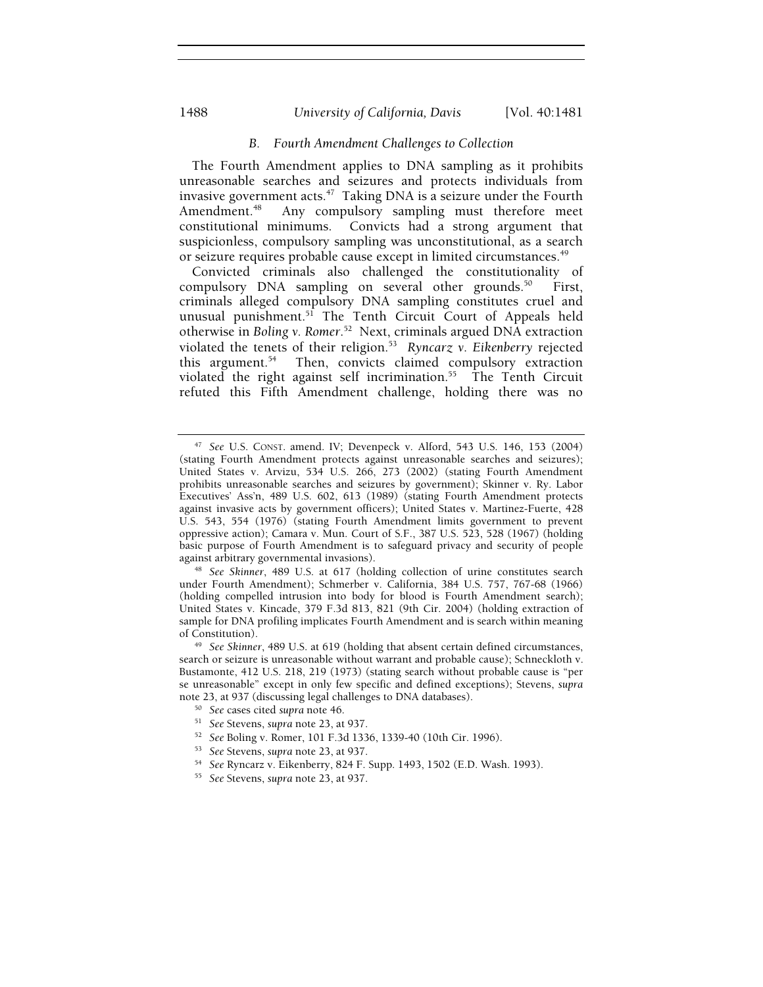#### 1488 *University of California, Davis* [Vol. 40:1481

#### *B. Fourth Amendment Challenges to Collection*

The Fourth Amendment applies to DNA sampling as it prohibits unreasonable searches and seizures and protects individuals from invasive government acts.<sup>47</sup> Taking DNA is a seizure under the Fourth Amendment.<sup>48</sup> Any compulsory sampling must therefore meet constitutional minimums. Convicts had a strong argument that suspicionless, compulsory sampling was unconstitutional, as a search or seizure requires probable cause except in limited circumstances.<sup>49</sup>

Convicted criminals also challenged the constitutionality of compulsory DNA sampling on several other grounds. $50$  First, criminals alleged compulsory DNA sampling constitutes cruel and unusual punishment.<sup>51</sup> The Tenth Circuit Court of Appeals held otherwise in *Boling v. Romer*. 52 Next, criminals argued DNA extraction violated the tenets of their religion.53 *Ryncarz v. Eikenberry* rejected this argument.54 Then, convicts claimed compulsory extraction violated the right against self incrimination.55 The Tenth Circuit refuted this Fifth Amendment challenge, holding there was no

under Fourth Amendment); Schmerber v. California, 384 U.S. 757, 767-68 (1966) (holding compelled intrusion into body for blood is Fourth Amendment search); United States v. Kincade, 379 F.3d 813, 821 (9th Cir. 2004) (holding extraction of sample for DNA profiling implicates Fourth Amendment and is search within meaning of Constitution). 49 *See Skinner*, 489 U.S. at 619 (holding that absent certain defined circumstances,

- 
- 
- 
- <sup>50</sup> See cases cited supra note 46.<br>
<sup>51</sup> See Stevens, supra note 23, at 937.<br>
<sup>52</sup> See Boling v. Romer, 101 F.3d 1336, 1339-40 (10th Cir. 1996).<br>
<sup>53</sup> See Stevens, supra note 23, at 937.<br>
<sup>54</sup> See Ryncarz v. Eikenberry,
- 

<sup>47</sup> *See* U.S. CONST. amend. IV; Devenpeck v. Alford, 543 U.S. 146, 153 (2004) (stating Fourth Amendment protects against unreasonable searches and seizures); United States v. Arvizu, 534 U.S. 266, 273 (2002) (stating Fourth Amendment prohibits unreasonable searches and seizures by government); Skinner v. Ry. Labor Executives' Ass'n, 489 U.S. 602, 613 (1989) (stating Fourth Amendment protects against invasive acts by government officers); United States v. Martinez-Fuerte, 428 U.S. 543, 554 (1976) (stating Fourth Amendment limits government to prevent oppressive action); Camara v. Mun. Court of S.F., 387 U.S. 523, 528 (1967) (holding basic purpose of Fourth Amendment is to safeguard privacy and security of people against arbitrary governmental invasions). 48 *See Skinner*, 489 U.S. at 617 (holding collection of urine constitutes search

search or seizure is unreasonable without warrant and probable cause); Schneckloth v. Bustamonte, 412 U.S. 218, 219 (1973) (stating search without probable cause is "per se unreasonable" except in only few specific and defined exceptions); Stevens, *supra*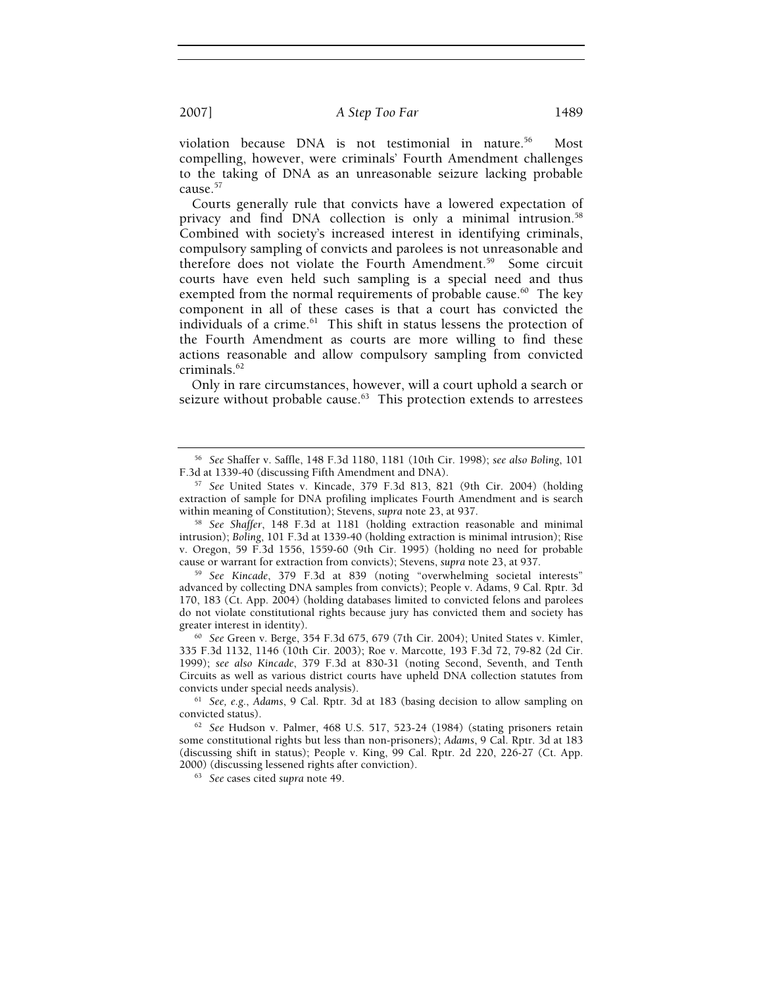violation because DNA is not testimonial in nature.<sup>56</sup> Most compelling, however, were criminals' Fourth Amendment challenges to the taking of DNA as an unreasonable seizure lacking probable cause.57

Courts generally rule that convicts have a lowered expectation of privacy and find DNA collection is only a minimal intrusion.<sup>58</sup> Combined with society's increased interest in identifying criminals, compulsory sampling of convicts and parolees is not unreasonable and therefore does not violate the Fourth Amendment.<sup>59</sup> Some circuit courts have even held such sampling is a special need and thus exempted from the normal requirements of probable cause. $60$  The key component in all of these cases is that a court has convicted the individuals of a crime.<sup>61</sup> This shift in status lessens the protection of the Fourth Amendment as courts are more willing to find these actions reasonable and allow compulsory sampling from convicted criminals.<sup>62</sup>

Only in rare circumstances, however, will a court uphold a search or seizure without probable cause.<sup>63</sup> This protection extends to arrestees

advanced by collecting DNA samples from convicts); People v. Adams, 9 Cal. Rptr. 3d 170, 183 (Ct. App. 2004) (holding databases limited to convicted felons and parolees do not violate constitutional rights because jury has convicted them and society has greater interest in identity).<br><sup>60</sup> See Green v. Berge, 354 F.3d 675, 679 (7th Cir. 2004); United States v. Kimler,

335 F.3d 1132, 1146 (10th Cir. 2003); Roe v. Marcotte*,* 193 F.3d 72, 79-82 (2d Cir. 1999); *see also Kincade*, 379 F.3d at 830-31 (noting Second, Seventh, and Tenth Circuits as well as various district courts have upheld DNA collection statutes from

<sup>56</sup> *See* Shaffer v. Saffle, 148 F.3d 1180, 1181 (10th Cir. 1998); *see also Boling*, 101 F.3d at 1339-40 (discussing Fifth Amendment and DNA).

<sup>57</sup> *See* United States v. Kincade, 379 F.3d 813, 821 (9th Cir. 2004) (holding extraction of sample for DNA profiling implicates Fourth Amendment and is search within meaning of Constitution); Stevens, *supra* note 23, at 937.<br><sup>58</sup> See Shaffer, 148 F.3d at 1181 (holding extraction reasonable and minimal

intrusion); *Boling*, 101 F.3d at 1339-40 (holding extraction is minimal intrusion); Rise v. Oregon, 59 F.3d 1556, 1559-60 (9th Cir. 1995) (holding no need for probable cause or warrant for extraction from convicts); Stevens, *supra* note 23, at 937. 59 *See Kincade*, 379 F.3d at 839 (noting "overwhelming societal interests"

convicts under special needs analysis). 61 *See, e.g.*, *Adams*, 9 Cal. Rptr. 3d at 183 (basing decision to allow sampling on

<sup>&</sup>lt;sup>62</sup> See Hudson v. Palmer, 468 U.S. 517, 523-24 (1984) (stating prisoners retain some constitutional rights but less than non-prisoners); *Adams*, 9 Cal. Rptr. 3d at 183 (discussing shift in status); People v. King, 99 Cal. Rptr. 2d 220, 226-27 (Ct. App. 2000) (discussing lessened rights after conviction). 63 *See* cases cited *supra* note 49.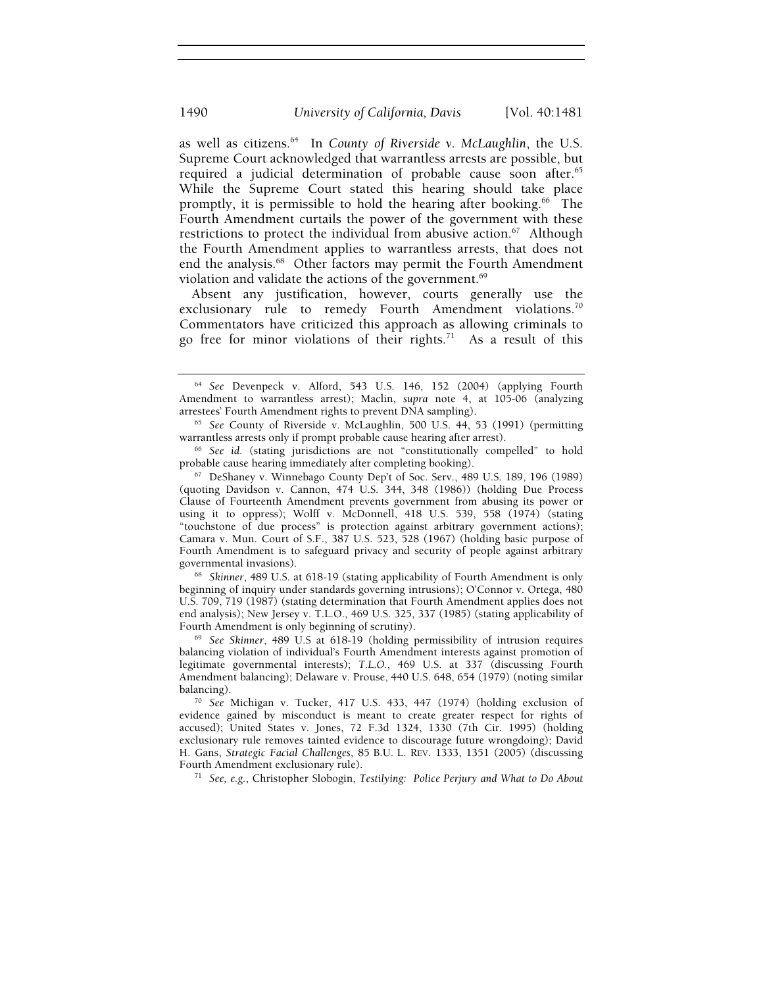as well as citizens.<sup>64</sup> In *County of Riverside v. McLaughlin*, the U.S. Supreme Court acknowledged that warrantless arrests are possible, but required a judicial determination of probable cause soon after.<sup>65</sup> While the Supreme Court stated this hearing should take place promptly, it is permissible to hold the hearing after booking.<sup>66</sup> The Fourth Amendment curtails the power of the government with these restrictions to protect the individual from abusive action.<sup>67</sup> Although the Fourth Amendment applies to warrantless arrests, that does not end the analysis.<sup>68</sup> Other factors may permit the Fourth Amendment violation and validate the actions of the government.<sup>69</sup>

Absent any justification, however, courts generally use the exclusionary rule to remedy Fourth Amendment violations.<sup>70</sup> Commentators have criticized this approach as allowing criminals to go free for minor violations of their rights.<sup>71</sup> As a result of this

beginning of inquiry under standards governing intrusions); O'Connor v. Ortega, 480 U.S. 709, 719 (1987) (stating determination that Fourth Amendment applies does not end analysis); New Jersey v. T.L.O., 469 U.S. 325, 337 (1985) (stating applicability of Fourth Amendment is only beginning of scrutiny). 69 *See Skinner*, 489 U.S at 618-19 (holding permissibility of intrusion requires

balancing violation of individual's Fourth Amendment interests against promotion of legitimate governmental interests); *T.L.O.*, 469 U.S. at 337 (discussing Fourth Amendment balancing); Delaware v. Prouse, 440 U.S. 648, 654 (1979) (noting similar balancing). 70 *See* Michigan v. Tucker, 417 U.S. 433, 447 (1974) (holding exclusion of

<sup>64</sup> *See* Devenpeck v. Alford, 543 U.S. 146, 152 (2004) (applying Fourth Amendment to warrantless arrest); Maclin, *supra* note 4, at 105-06 (analyzing arrestees' Fourth Amendment rights to prevent DNA sampling).

<sup>&</sup>lt;sup>65</sup> See County of Riverside v. McLaughlin, 500 U.S. 44, 53 (1991) (permitting warrantless arrests only if prompt probable cause hearing after arrest).

<sup>&</sup>lt;sup>66</sup> See *id.* (stating jurisdictions are not "constitutionally compelled" to hold probable cause hearing immediately after completing booking). 67 DeShaney v. Winnebago County Dep't of Soc. Serv., 489 U.S. 189, 196 (1989)

<sup>(</sup>quoting Davidson v. Cannon, 474 U.S. 344, 348 (1986)) (holding Due Process Clause of Fourteenth Amendment prevents government from abusing its power or using it to oppress); Wolff v. McDonnell, 418 U.S. 539, 558 (1974) (stating "touchstone of due process" is protection against arbitrary government actions); Camara v. Mun. Court of S.F., 387 U.S. 523, 528 (1967) (holding basic purpose of Fourth Amendment is to safeguard privacy and security of people against arbitrary governmental invasions).<br><sup>68</sup> Skinner, 489 U.S. at 618-19 (stating applicability of Fourth Amendment is only

evidence gained by misconduct is meant to create greater respect for rights of accused); United States v. Jones, 72 F.3d 1324, 1330 (7th Cir. 1995) (holding exclusionary rule removes tainted evidence to discourage future wrongdoing); David H. Gans, *Strategic Facial Challenges*, 85 B.U. L. REV. 1333, 1351 (2005) (discussing Fourth Amendment exclusionary rule). 71 *See, e.g.*, Christopher Slobogin, *Testilying: Police Perjury and What to Do About*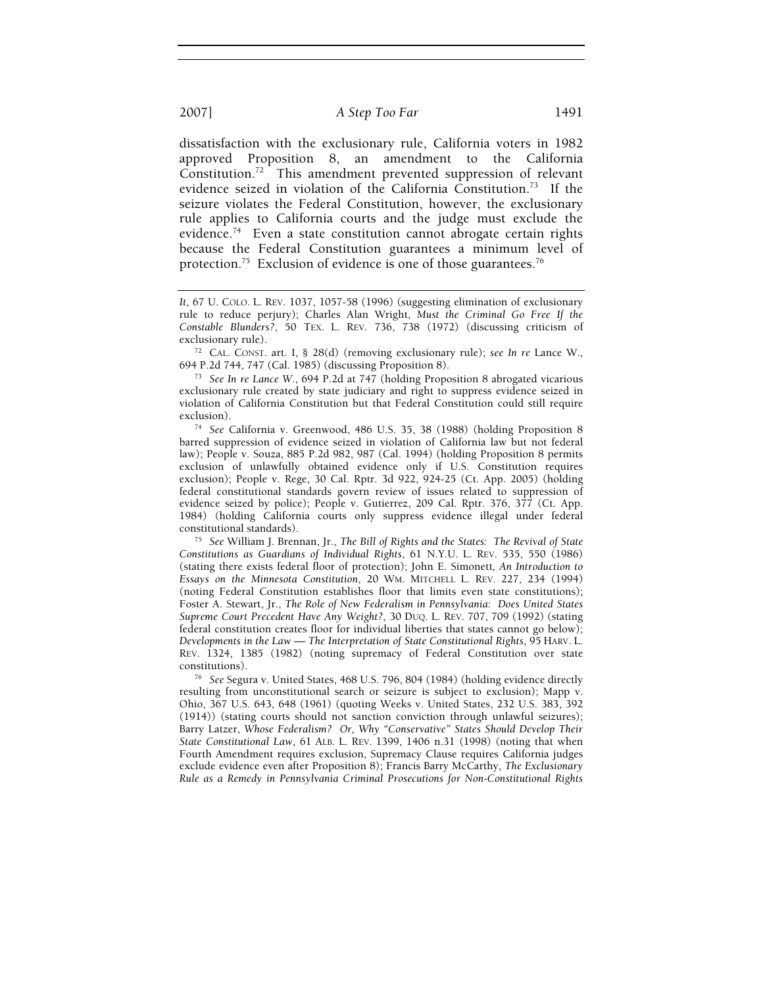dissatisfaction with the exclusionary rule, California voters in 1982 approved Proposition 8, an amendment to the California Constitution.<sup>72</sup> This amendment prevented suppression of relevant evidence seized in violation of the California Constitution.73 If the seizure violates the Federal Constitution, however, the exclusionary rule applies to California courts and the judge must exclude the evidence.<sup>74</sup> Even a state constitution cannot abrogate certain rights because the Federal Constitution guarantees a minimum level of protection.<sup>75</sup> Exclusion of evidence is one of those guarantees.<sup>76</sup>

694 P.2d 744, 747 (Cal. 1985) (discussing Proposition 8). 73 *See In re Lance W.*, 694 P.2d at 747 (holding Proposition 8 abrogated vicarious

exclusionary rule created by state judiciary and right to suppress evidence seized in violation of California Constitution but that Federal Constitution could still require

exclusion). 74 *See* California v. Greenwood, 486 U.S. 35, 38 (1988) (holding Proposition 8 barred suppression of evidence seized in violation of California law but not federal law); People v. Souza, 885 P.2d 982, 987 (Cal. 1994) (holding Proposition 8 permits exclusion of unlawfully obtained evidence only if U.S. Constitution requires exclusion); People v. Rege, 30 Cal. Rptr. 3d 922, 924-25 (Ct. App. 2005) (holding federal constitutional standards govern review of issues related to suppression of evidence seized by police); People v. Gutierrez, 209 Cal. Rptr. 376, 377 (Ct. App. 1984) (holding California courts only suppress evidence illegal under federal

constitutional standards). 75 *See* William J. Brennan, Jr., *The Bill of Rights and the States: The Revival of State Constitutions as Guardians of Individual Rights*, 61 N.Y.U. L. REV. 535, 550 (1986) (stating there exists federal floor of protection); John E. Simonett*, An Introduction to Essays on the Minnesota Constitution*, 20 WM. MITCHELL L. REV. 227, 234 (1994) (noting Federal Constitution establishes floor that limits even state constitutions); Foster A. Stewart, Jr., *The Role of New Federalism in Pennsylvania: Does United States Supreme Court Precedent Have Any Weight?*, 30 DUQ. L. REV. 707, 709 (1992) (stating federal constitution creates floor for individual liberties that states cannot go below); *Developments in the Law — The Interpretation of State Constitutional Rights*, 95 HARV. L. REV. 1324, 1385 (1982) (noting supremacy of Federal Constitution over state

constitutions). 76 *See* Segura v. United States, 468 U.S. 796, 804 (1984) (holding evidence directly resulting from unconstitutional search or seizure is subject to exclusion); Mapp v. Ohio, 367 U.S. 643, 648 (1961) (quoting Weeks v. United States, 232 U.S. 383, 392 (1914)) (stating courts should not sanction conviction through unlawful seizures); Barry Latzer, *Whose Federalism? Or, Why "Conservative" States Should Develop Their State Constitutional Law*, 61 ALB. L. REV. 1399, 1406 n.31 (1998) (noting that when Fourth Amendment requires exclusion, Supremacy Clause requires California judges exclude evidence even after Proposition 8); Francis Barry McCarthy, *The Exclusionary Rule as a Remedy in Pennsylvania Criminal Prosecutions for Non-Constitutional Rights* 

*It*, 67 U. COLO. L. REV. 1037, 1057-58 (1996) (suggesting elimination of exclusionary rule to reduce perjury); Charles Alan Wright, *Must the Criminal Go Free If the Constable Blunders?*, 50 TEX. L. REV. 736, 738 (1972) (discussing criticism of exclusionary rule). 72 CAL. CONST. art. I, § 28(d) (removing exclusionary rule); *see In re* Lance W.,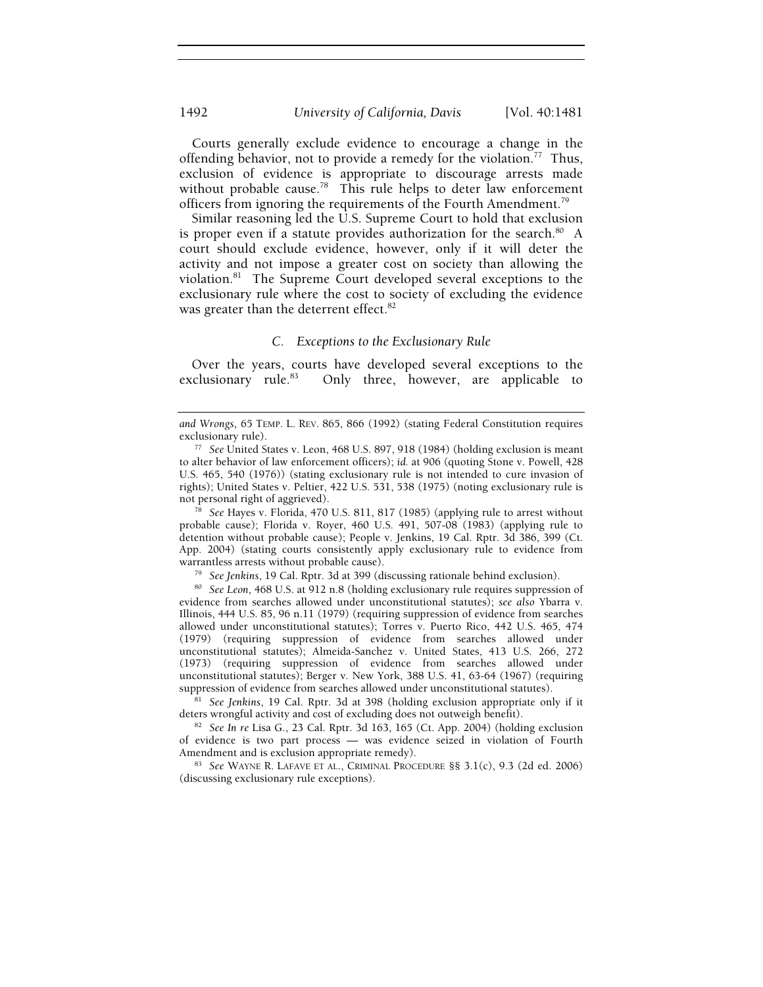Courts generally exclude evidence to encourage a change in the offending behavior, not to provide a remedy for the violation.<sup>77</sup> Thus, exclusion of evidence is appropriate to discourage arrests made without probable cause.<sup>78</sup> This rule helps to deter law enforcement officers from ignoring the requirements of the Fourth Amendment.<sup>79</sup>

Similar reasoning led the U.S. Supreme Court to hold that exclusion is proper even if a statute provides authorization for the search. $80\,$  A court should exclude evidence, however, only if it will deter the activity and not impose a greater cost on society than allowing the violation.81 The Supreme Court developed several exceptions to the exclusionary rule where the cost to society of excluding the evidence was greater than the deterrent effect.<sup>82</sup>

#### *C. Exceptions to the Exclusionary Rule*

Over the years, courts have developed several exceptions to the exclusionary rule.<sup>83</sup> Only three, however, are applicable to Only three, however, are applicable to

probable cause); Florida v. Royer, 460 U.S. 491, 507-08 (1983) (applying rule to detention without probable cause); People v. Jenkins, 19 Cal. Rptr. 3d 386, 399 (Ct. App. 2004) (stating courts consistently apply exclusionary rule to evidence from warrantless arrests without probable cause).

<sup>79</sup> See Jenkins, 19 Cal. Rptr. 3d at 399 (discussing rationale behind exclusion).<br><sup>80</sup> See Leon, 468 U.S. at 912 n.8 (holding exclusionary rule requires suppression of evidence from searches allowed under unconstitutional statutes); *see also* Ybarra v. Illinois, 444 U.S. 85, 96 n.11 (1979) (requiring suppression of evidence from searches allowed under unconstitutional statutes); Torres v. Puerto Rico, 442 U.S. 465, 474 (1979) (requiring suppression of evidence from searches allowed under unconstitutional statutes); Almeida-Sanchez v. United States, 413 U.S. 266, 272 (1973) (requiring suppression of evidence from searches allowed under unconstitutional statutes); Berger v. New York, 388 U.S. 41, 63-64 (1967) (requiring

<sup>81</sup> See Jenkins, 19 Cal. Rptr. 3d at 398 (holding exclusion appropriate only if it deters wrongful activity and cost of excluding does not outweigh benefit). 82 *See In re* Lisa G., 23 Cal. Rptr. 3d 163, 165 (Ct. App. 2004) (holding exclusion

of evidence is two part process — was evidence seized in violation of Fourth Amendment and is exclusion appropriate remedy). 83 *See* WAYNE R. LAFAVE ET AL., CRIMINAL PROCEDURE §§ 3.1(c), 9.3 (2d ed. 2006)

(discussing exclusionary rule exceptions).

*and Wrongs*, 65 TEMP. L. REV. 865, 866 (1992) (stating Federal Constitution requires exclusionary rule). 77 *See* United States v. Leon, 468 U.S. 897, 918 (1984) (holding exclusion is meant

to alter behavior of law enforcement officers); *id.* at 906 (quoting Stone v. Powell, 428 U.S. 465, 540 (1976)) (stating exclusionary rule is not intended to cure invasion of rights); United States v. Peltier, 422 U.S. 531, 538 (1975) (noting exclusionary rule is not personal right of aggrieved). 78 *See* Hayes v. Florida, 470 U.S. 811, 817 (1985) (applying rule to arrest without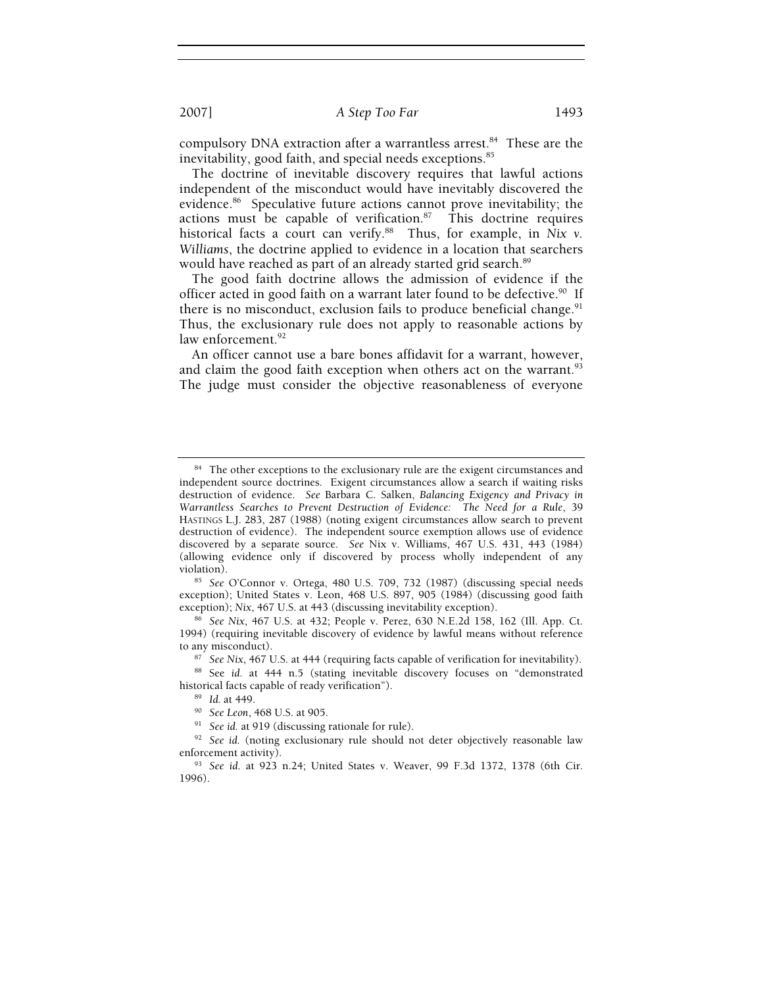compulsory DNA extraction after a warrantless arrest.<sup>84</sup> These are the inevitability, good faith, and special needs exceptions.<sup>85</sup>

The doctrine of inevitable discovery requires that lawful actions independent of the misconduct would have inevitably discovered the evidence.<sup>86</sup> Speculative future actions cannot prove inevitability; the actions must be capable of verification.<sup>87</sup> This doctrine requires historical facts a court can verify.<sup>88</sup> Thus, for example, in *Nix v*. *Williams*, the doctrine applied to evidence in a location that searchers would have reached as part of an already started grid search.<sup>89</sup>

The good faith doctrine allows the admission of evidence if the officer acted in good faith on a warrant later found to be defective.<sup>90</sup> If there is no misconduct, exclusion fails to produce beneficial change. $91$ Thus, the exclusionary rule does not apply to reasonable actions by law enforcement.<sup>92</sup>

An officer cannot use a bare bones affidavit for a warrant, however, and claim the good faith exception when others act on the warrant.<sup>93</sup> The judge must consider the objective reasonableness of everyone

exception); United States v. Leon, 468 U.S. 897, 905 (1984) (discussing good faith exception); *Nix*, 467 U.S. at 443 (discussing inevitability exception). 86 *See Nix*, 467 U.S. at 432; People v. Perez, 630 N.E.2d 158, 162 (Ill. App. Ct.

1994) (requiring inevitable discovery of evidence by lawful means without reference

to any misconduct).<br><sup>87</sup> *See Nix*, 467 U.S. at 444 (requiring facts capable of verification for inevitability).<br><sup>88</sup> See *id.* at 444 n.5 (stating inevitable discovery focuses on "demonstrated<br>historical facts capable o

<sup>&</sup>lt;sup>84</sup> The other exceptions to the exclusionary rule are the exigent circumstances and independent source doctrines. Exigent circumstances allow a search if waiting risks destruction of evidence. *See* Barbara C. Salken, *Balancing Exigency and Privacy in Warrantless Searches to Prevent Destruction of Evidence: The Need for a Rule*, 39 HASTINGS L.J. 283, 287 (1988) (noting exigent circumstances allow search to prevent destruction of evidence). The independent source exemption allows use of evidence discovered by a separate source. *See* Nix v. Williams, 467 U.S. 431, 443 (1984) (allowing evidence only if discovered by process wholly independent of any violation). 85 *See* O'Connor v. Ortega, 480 U.S. 709, 732 (1987) (discussing special needs

<sup>&</sup>lt;sup>89</sup> Id. at 449.<br><sup>90</sup> *See Leon*, 468 U.S. at 905.<br><sup>91</sup> *See id.* at 919 (discussing rationale for rule).<br><sup>92</sup> *See id.* (noting exclusionary rule should not deter objectively reasonable law enforcement activity). 93 *See id*. at 923 n.24; United States v. Weaver, 99 F.3d 1372, 1378 (6th Cir.

<sup>1996).</sup>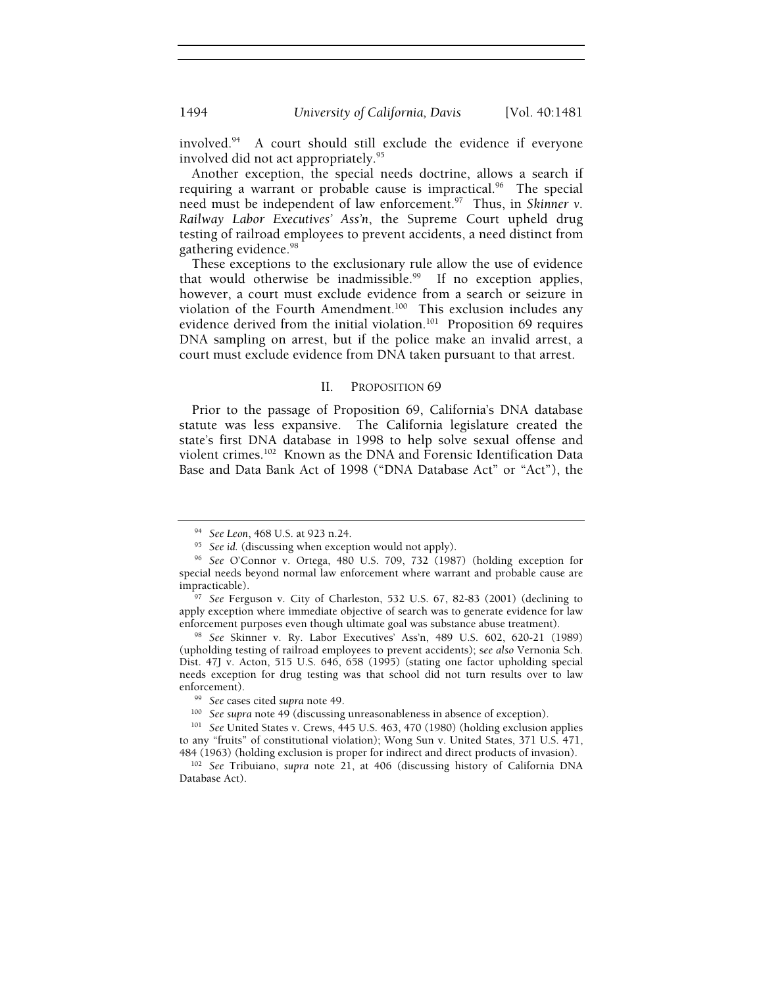involved.94 A court should still exclude the evidence if everyone involved did not act appropriately.95

Another exception, the special needs doctrine, allows a search if requiring a warrant or probable cause is impractical.<sup>96</sup> The special need must be independent of law enforcement.<sup>97</sup> Thus, in *Skinner v*. *Railway Labor Executives' Ass'n*, the Supreme Court upheld drug testing of railroad employees to prevent accidents, a need distinct from gathering evidence.98

These exceptions to the exclusionary rule allow the use of evidence that would otherwise be inadmissible.<sup>99</sup> If no exception applies, however, a court must exclude evidence from a search or seizure in violation of the Fourth Amendment.<sup>100</sup> This exclusion includes any evidence derived from the initial violation.<sup>101</sup> Proposition 69 requires DNA sampling on arrest, but if the police make an invalid arrest, a court must exclude evidence from DNA taken pursuant to that arrest.

#### II. PROPOSITION 69

Prior to the passage of Proposition 69, California's DNA database statute was less expansive. The California legislature created the state's first DNA database in 1998 to help solve sexual offense and violent crimes.102 Known as the DNA and Forensic Identification Data Base and Data Bank Act of 1998 ("DNA Database Act" or "Act"), the

<sup>94</sup> *See Leon*, 468 U.S. at 923 n.24. 95 *See id.* (discussing when exception would not apply). 96 *See* O'Connor v. Ortega, 480 U.S. 709, 732 (1987) (holding exception for special needs beyond normal law enforcement where warrant and probable cause are impracticable).

<sup>&</sup>lt;sup>97</sup> See Ferguson v. City of Charleston, 532 U.S. 67, 82-83 (2001) (declining to apply exception where immediate objective of search was to generate evidence for law enforcement purposes even though ultimate goal was substance abuse treatment).

<sup>&</sup>lt;sup>98</sup> See Skinner v. Ry. Labor Executives' Ass'n, 489 U.S. 602, 620-21 (1989) (upholding testing of railroad employees to prevent accidents); s*ee also* Vernonia Sch. Dist. 47J v. Acton, 515 U.S. 646, 658 (1995) (stating one factor upholding special needs exception for drug testing was that school did not turn results over to law enforcement).<br><sup>99</sup> See cases cited supra note 49.<br><sup>100</sup> See supra note 49 (discussing unreasonableness in absence of exception).<br><sup>101</sup> See United States v. Crews, 445 U.S. 463, 470 (1980) (holding exclusion applies

to any "fruits" of constitutional violation); Wong Sun v. United States, 371 U.S. 471,

<sup>484 (1963) (</sup>holding exclusion is proper for indirect and direct products of invasion). 102 *See* Tribuiano, *supra* note 21, at 406 (discussing history of California DNA Database Act).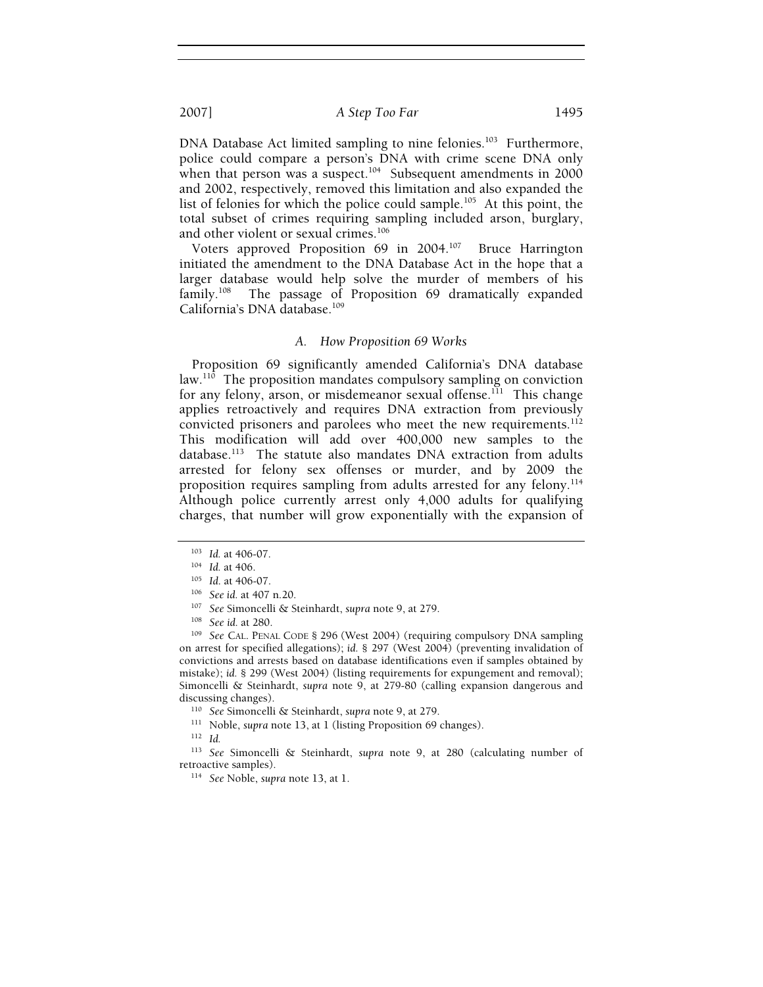DNA Database Act limited sampling to nine felonies.<sup>103</sup> Furthermore, police could compare a person's DNA with crime scene DNA only when that person was a suspect.<sup>104</sup> Subsequent amendments in 2000 and 2002, respectively, removed this limitation and also expanded the list of felonies for which the police could sample.105 At this point, the total subset of crimes requiring sampling included arson, burglary, and other violent or sexual crimes.<sup>106</sup>

Voters approved Proposition 69 in 2004.<sup>107</sup> Bruce Harrington initiated the amendment to the DNA Database Act in the hope that a larger database would help solve the murder of members of his family.<sup>108</sup> The passage of Proposition 69 dramatically expanded California's DNA database.<sup>109</sup>

#### *A. How Proposition 69 Works*

Proposition 69 significantly amended California's DNA database law.<sup>110</sup> The proposition mandates compulsory sampling on conviction for any felony, arson, or misdemeanor sexual offense.<sup>111</sup> This change applies retroactively and requires DNA extraction from previously convicted prisoners and parolees who meet the new requirements.<sup>112</sup> This modification will add over 400,000 new samples to the database.<sup>113</sup> The statute also mandates DNA extraction from adults arrested for felony sex offenses or murder, and by 2009 the proposition requires sampling from adults arrested for any felony.<sup>114</sup> Although police currently arrest only 4,000 adults for qualifying charges, that number will grow exponentially with the expansion of

<sup>&</sup>lt;sup>103</sup> Id. at 406-07.<br>
<sup>104</sup> Id. at 406-07.<br>
<sup>105</sup> Id. at 406-07.<br>
<sup>106</sup> See id. at 407 n.20.<br>
<sup>107</sup> See Simoncelli & Steinhardt, supra note 9, at 279.<br>
<sup>108</sup> See id. at 280.<br>
<sup>108</sup> See CAL. PENAL CODE § 296 (West 2004) (r on arrest for specified allegations); *id.* § 297 (West 2004) (preventing invalidation of convictions and arrests based on database identifications even if samples obtained by mistake); *id.* § 299 (West 2004) (listing requirements for expungement and removal); Simoncelli & Steinhardt, *supra* note 9, at 279-80 (calling expansion dangerous and discussing changes).<br><sup>110</sup> See Simoncelli & Steinhardt, *supra* note 9, at 279.<br><sup>111</sup> Noble, *supra* note 13, at 1 (listing Proposition 69 changes).<br><sup>112</sup> *Id* 

<sup>113</sup> *See* Simoncelli & Steinhardt, *supra* note 9, at 280 (calculating number of retroactive samples). 114 *See* Noble, *supra* note 13, at 1.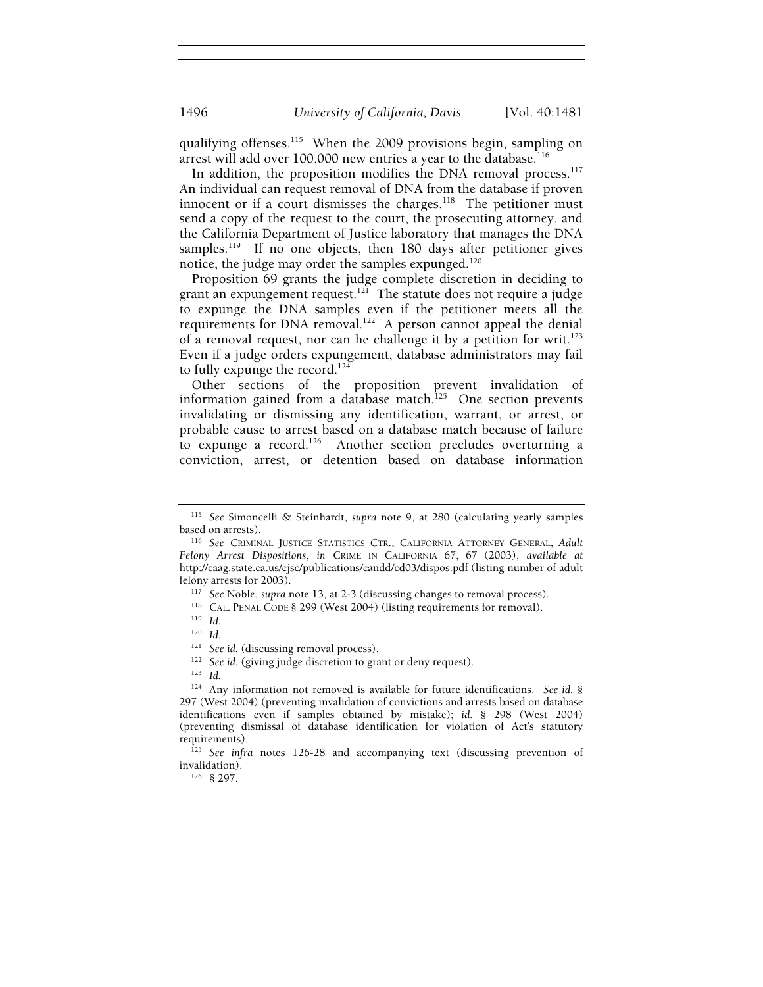qualifying offenses.<sup>115</sup> When the 2009 provisions begin, sampling on arrest will add over  $100,000$  new entries a year to the database.<sup>116</sup>

In addition, the proposition modifies the DNA removal process.<sup>117</sup> An individual can request removal of DNA from the database if proven innocent or if a court dismisses the charges.<sup>118</sup> The petitioner must send a copy of the request to the court, the prosecuting attorney, and the California Department of Justice laboratory that manages the DNA samples.<sup>119</sup> If no one objects, then 180 days after petitioner gives notice, the judge may order the samples expunged.<sup>120</sup>

Proposition 69 grants the judge complete discretion in deciding to grant an expungement request.<sup>121</sup> The statute does not require a judge to expunge the DNA samples even if the petitioner meets all the requirements for DNA removal.<sup>122</sup> A person cannot appeal the denial of a removal request, nor can he challenge it by a petition for writ.<sup>123</sup> Even if a judge orders expungement, database administrators may fail to fully expunge the record.<sup>124</sup>

Other sections of the proposition prevent invalidation of information gained from a database match. $125$  One section prevents invalidating or dismissing any identification, warrant, or arrest, or probable cause to arrest based on a database match because of failure to expunge a record.<sup>126</sup> Another section precludes overturning a conviction, arrest, or detention based on database information

 $126$  § 297.

<sup>115</sup> *See* Simoncelli & Steinhardt, *supra* note 9, at 280 (calculating yearly samples

<sup>&</sup>lt;sup>116</sup> See CRIMINAL JUSTICE STATISTICS CTR., CALIFORNIA ATTORNEY GENERAL, *Adult Felony Arrest Dispositions*, *in* CRIME IN CALIFORNIA 67, 67 (2003), *available at*  http://caag.state.ca.us/cjsc/publications/candd/cd03/dispos.pdf (listing number of adult felony arrests for 2003).<br><sup>117</sup> See Noble, *supra* note 13, at 2-3 (discussing changes to removal process).<br><sup>118</sup> CAL. PENAL CODE § 299 (West 2004) (listing requirements for removal).<br><sup>119</sup> *Id* 

<sup>120</sup> *Id.*

<sup>121</sup> *See id.* (discussing removal process). 122 *See id.* (giving judge discretion to grant or deny request). 123 *Id.*

<sup>124</sup> Any information not removed is available for future identifications. *See id.* § 297 (West 2004) (preventing invalidation of convictions and arrests based on database identifications even if samples obtained by mistake); *id.* § 298 (West 2004) (preventing dismissal of database identification for violation of Act's statutory

requirements). 125 *See infra* notes 126-28 and accompanying text (discussing prevention of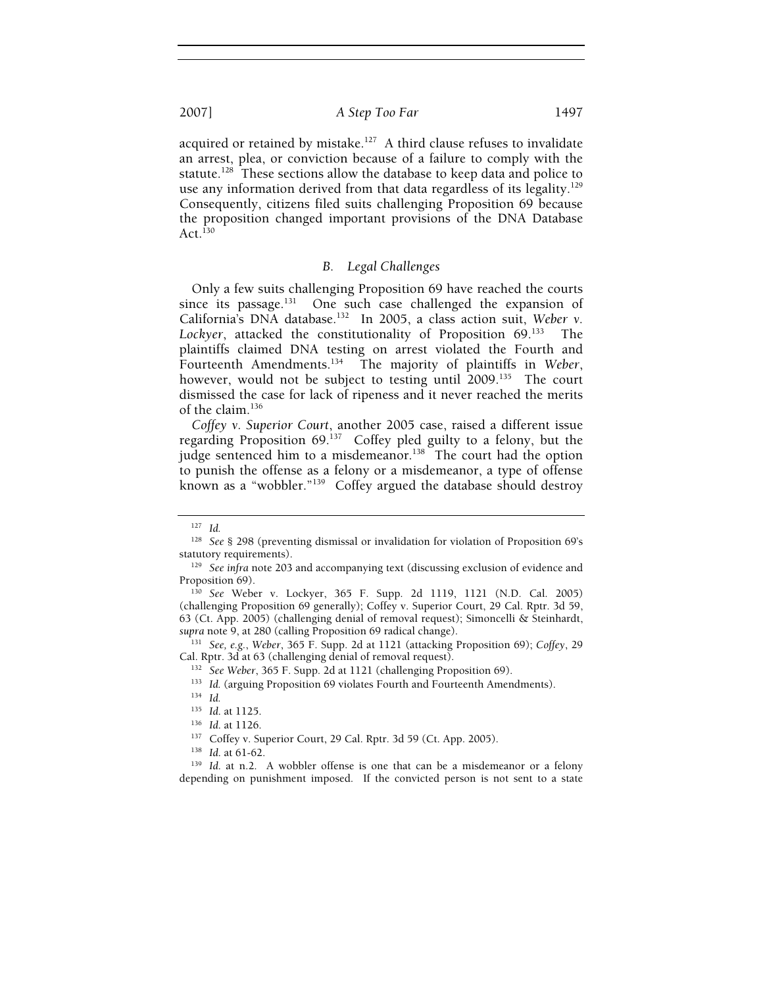acquired or retained by mistake.<sup>127</sup> A third clause refuses to invalidate an arrest, plea, or conviction because of a failure to comply with the statute.128 These sections allow the database to keep data and police to use any information derived from that data regardless of its legality.<sup>129</sup> Consequently, citizens filed suits challenging Proposition 69 because the proposition changed important provisions of the DNA Database  $Act.<sup>130</sup>$ 

#### *B. Legal Challenges*

Only a few suits challenging Proposition 69 have reached the courts since its passage.<sup>131</sup> One such case challenged the expansion of California's DNA database.132 In 2005, a class action suit, *Weber v.*  Lockyer, attacked the constitutionality of Proposition 69.<sup>133</sup> The plaintiffs claimed DNA testing on arrest violated the Fourth and Fourteenth Amendments.134 The majority of plaintiffs in *Weber*, however, would not be subject to testing until 2009.<sup>135</sup> The court dismissed the case for lack of ripeness and it never reached the merits of the claim.<sup>136</sup>

*Coffey v. Superior Court*, another 2005 case, raised a different issue regarding Proposition  $69.^{137}$  Coffey pled guilty to a felony, but the judge sentenced him to a misdemeanor.<sup>138</sup> The court had the option to punish the offense as a felony or a misdemeanor, a type of offense known as a "wobbler."139 Coffey argued the database should destroy

Cal. Rptr. 3d at 63 (challenging denial of removal request).<br><sup>132</sup> *See Weber*, 365 F. Supp. 2d at 1121 (challenging Proposition 69).<br><sup>133</sup> *Id.* (arguing Proposition 69 violates Fourth and Fourteenth Amendments).<br><sup>134</sup>

<sup>127</sup> *Id.*

<sup>128</sup> *See* § 298 (preventing dismissal or invalidation for violation of Proposition 69's

statutory requirements). 129 *See infra* note 203 and accompanying text (discussing exclusion of evidence and Proposition 69). 130 *See* Weber v. Lockyer, 365 F. Supp. 2d 1119, 1121 (N.D. Cal. 2005)

<sup>(</sup>challenging Proposition 69 generally); Coffey v. Superior Court, 29 Cal. Rptr. 3d 59, 63 (Ct. App. 2005) (challenging denial of removal request); Simoncelli & Steinhardt, *supra* note 9, at 280 (calling Proposition 69 radical change). 131 *See, e.g.*, *Weber*, 365 F. Supp. 2d at 1121 (attacking Proposition 69); *Coffey*, 29

<sup>&</sup>lt;sup>136</sup> *Id.* at 1126.<br><sup>137</sup> Coffey v. Superior Court, 29 Cal. Rptr. 3d 59 (Ct. App. 2005).<br><sup>138</sup> *Id.* at 61-62.<br><sup>139</sup> *Id.* at n.2. A wobbler offense is one that can be a misdemeanor or a felony depending on punishment imposed. If the convicted person is not sent to a state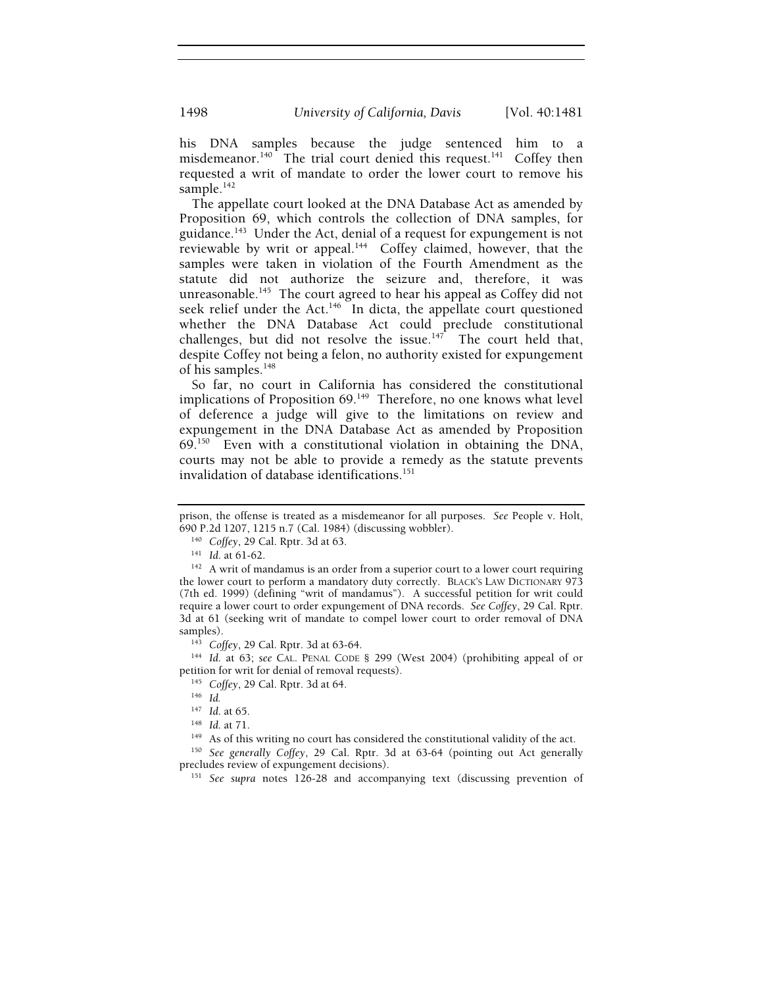his DNA samples because the judge sentenced him to a misdemeanor.<sup>140</sup> The trial court denied this request.<sup>141</sup> Coffey then requested a writ of mandate to order the lower court to remove his sample.<sup>142</sup>

The appellate court looked at the DNA Database Act as amended by Proposition 69, which controls the collection of DNA samples, for guidance.143 Under the Act, denial of a request for expungement is not reviewable by writ or appeal.<sup>144</sup> Coffey claimed, however, that the samples were taken in violation of the Fourth Amendment as the statute did not authorize the seizure and, therefore, it was unreasonable.<sup>145</sup> The court agreed to hear his appeal as Coffey did not seek relief under the Act.<sup>146</sup> In dicta, the appellate court questioned whether the DNA Database Act could preclude constitutional challenges, but did not resolve the issue.<sup>147</sup> The court held that, despite Coffey not being a felon, no authority existed for expungement of his samples.<sup>148</sup>

So far, no court in California has considered the constitutional implications of Proposition 69.<sup>149</sup> Therefore, no one knows what level of deference a judge will give to the limitations on review and expungement in the DNA Database Act as amended by Proposition 69.<sup>150</sup> Even with a constitutional violation in obtaining the DNA. Even with a constitutional violation in obtaining the DNA, courts may not be able to provide a remedy as the statute prevents invalidation of database identifications.<sup>151</sup>

petition for writ for denial of removal requests).<br><sup>145</sup> *Coffey*, 29 Cal. Rptr. 3d at 64.<br><sup>146</sup> *Id.*<br><sup>147</sup> *Id.* at 65.

<sup>148</sup> Id. at 71.<br><sup>149</sup> As of this writing no court has considered the constitutional validity of the act.<br><sup>150</sup> See generally Coffey, 29 Cal. Rptr. 3d at 63-64 (pointing out Act generally

precludes review of expungement decisions). 151 *See supra* notes 126-28 and accompanying text (discussing prevention of

prison, the offense is treated as a misdemeanor for all purposes. *See* People v. Holt, 690 P.2d 1207, 1215 n.7 (Cal. 1984) (discussing wobbler).<br><sup>140</sup> Coffey, 29 Cal. Rptr. 3d at 63.<br><sup>141</sup> Id. at 61-62.<br><sup>142</sup> A writ of mandamus is an order from a superior court to a lower court requiring

the lower court to perform a mandatory duty correctly. BLACK'S LAW DICTIONARY 973 (7th ed. 1999) (defining "writ of mandamus"). A successful petition for writ could require a lower court to order expungement of DNA records. *See Coffey*, 29 Cal. Rptr. 3d at 61 (seeking writ of mandate to compel lower court to order removal of DNA samples). 143 *Coffey*, 29 Cal. Rptr. 3d at 63-64. 144 *Id*. at 63; *see* CAL. PENAL CODE § 299 (West 2004) (prohibiting appeal of or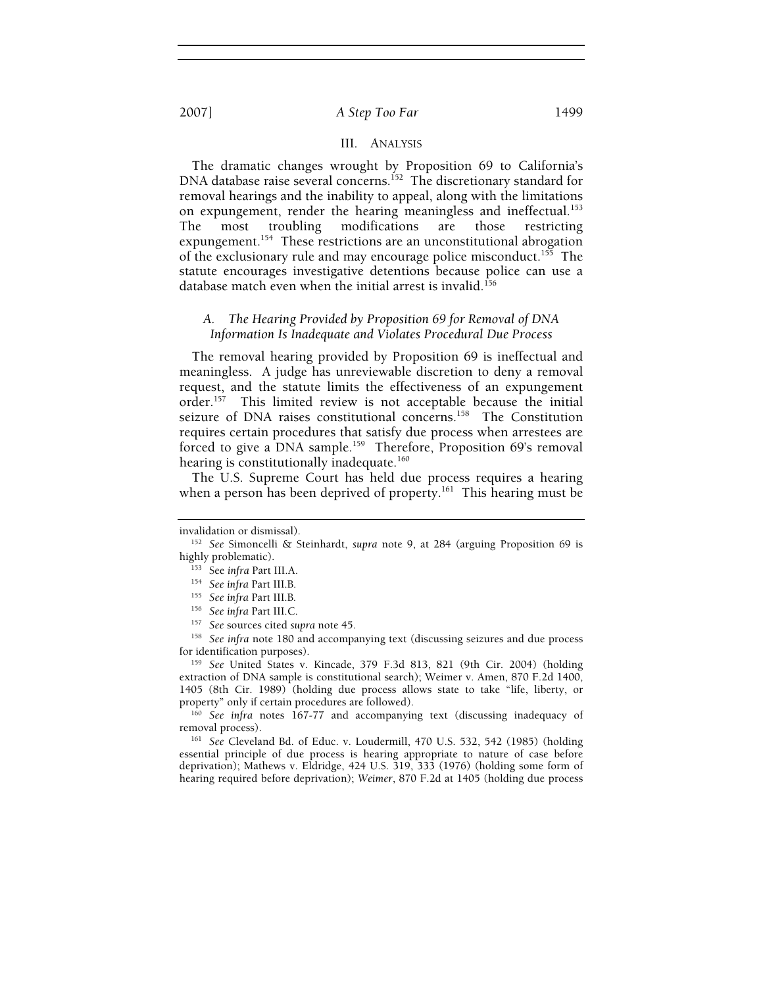## III. ANALYSIS

The dramatic changes wrought by Proposition 69 to California's DNA database raise several concerns.<sup>152</sup> The discretionary standard for removal hearings and the inability to appeal, along with the limitations on expungement, render the hearing meaningless and ineffectual.<sup>153</sup><br>The most troubling modifications are those restricting The most troubling modifications are those restricting expungement.<sup>154</sup> These restrictions are an unconstitutional abrogation of the exclusionary rule and may encourage police misconduct.<sup>155</sup> The statute encourages investigative detentions because police can use a database match even when the initial arrest is invalid.<sup>156</sup>

#### *A. The Hearing Provided by Proposition 69 for Removal of DNA Information Is Inadequate and Violates Procedural Due Process*

The removal hearing provided by Proposition 69 is ineffectual and meaningless. A judge has unreviewable discretion to deny a removal request, and the statute limits the effectiveness of an expungement order.<sup>157</sup> This limited review is not acceptable because the initial seizure of DNA raises constitutional concerns.<sup>158</sup> The Constitution requires certain procedures that satisfy due process when arrestees are forced to give a DNA sample.<sup>159</sup> Therefore, Proposition 69's removal hearing is constitutionally inadequate.<sup>160</sup>

The U.S. Supreme Court has held due process requires a hearing when a person has been deprived of property.<sup>161</sup> This hearing must be

<sup>157</sup> See sources cited *supra* note 45.<br><sup>158</sup> See *infra* note 180 and accompanying text (discussing seizures and due process for identification purposes).

<sup>159</sup> See United States v. Kincade, 379 F.3d 813, 821 (9th Cir. 2004) (holding extraction of DNA sample is constitutional search); Weimer v. Amen, 870 F.2d 1400, 1405 (8th Cir. 1989) (holding due process allows state to take "life, liberty, or property" only if certain procedures are followed). 160 *See infra* notes 167-77 and accompanying text (discussing inadequacy of

removal process). 161 *See* Cleveland Bd. of Educ. v. Loudermill, 470 U.S. 532, 542 (1985) (holding

essential principle of due process is hearing appropriate to nature of case before deprivation); Mathews v. Eldridge, 424 U.S. 319, 333 (1976) (holding some form of hearing required before deprivation); *Weimer*, 870 F.2d at 1405 (holding due process

invalidation or dismissal). 152 *See* Simoncelli & Steinhardt, *supra* note 9, at 284 (arguing Proposition 69 is

<sup>&</sup>lt;sup>153</sup> See *infra* Part III.A.<br><sup>154</sup> See *infra* Part III.B.<br><sup>155</sup> See *infra* Part III.C.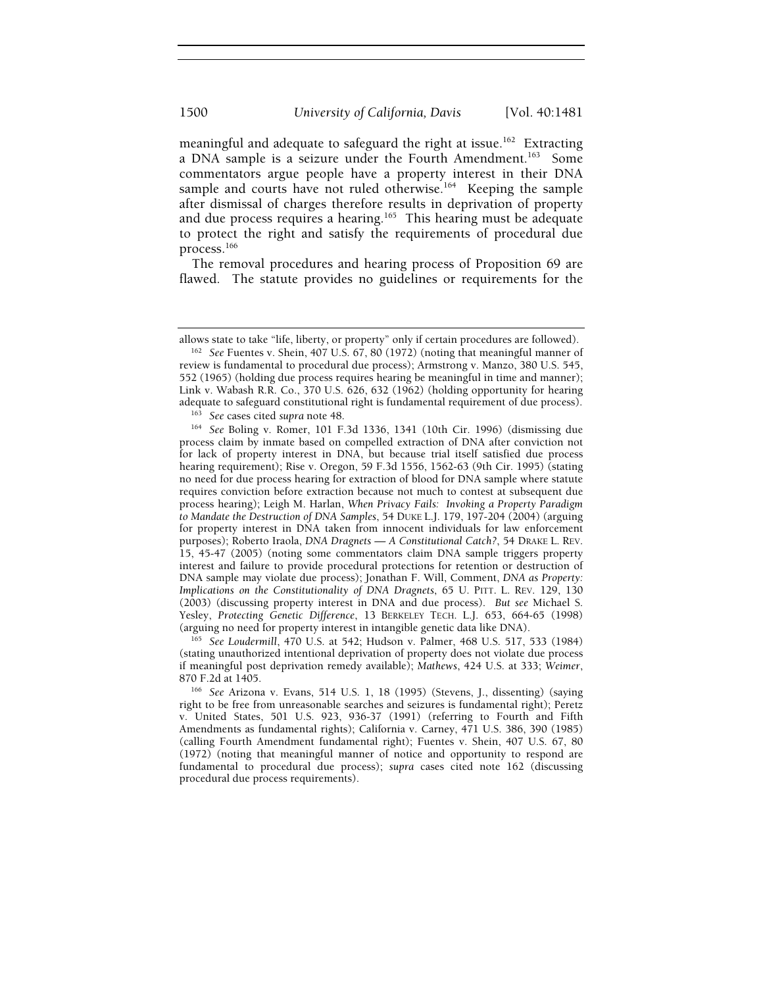meaningful and adequate to safeguard the right at issue.<sup>162</sup> Extracting a DNA sample is a seizure under the Fourth Amendment.<sup>163</sup> Some commentators argue people have a property interest in their DNA sample and courts have not ruled otherwise.<sup>164</sup> Keeping the sample after dismissal of charges therefore results in deprivation of property and due process requires a hearing.<sup>165</sup> This hearing must be adequate to protect the right and satisfy the requirements of procedural due process.166

The removal procedures and hearing process of Proposition 69 are flawed. The statute provides no guidelines or requirements for the

(stating unauthorized intentional deprivation of property does not violate due process if meaningful post deprivation remedy available); *Mathews*, 424 U.S. at 333; *Weimer*,

<sup>166</sup> See Arizona v. Evans, 514 U.S. 1, 18 (1995) (Stevens, J., dissenting) (saying right to be free from unreasonable searches and seizures is fundamental right); Peretz v. United States, 501 U.S. 923, 936-37 (1991) (referring to Fourth and Fifth Amendments as fundamental rights); California v. Carney, 471 U.S. 386, 390 (1985) (calling Fourth Amendment fundamental right); Fuentes v. Shein, 407 U.S. 67, 80 (1972) (noting that meaningful manner of notice and opportunity to respond are fundamental to procedural due process); *supra* cases cited note 162 (discussing procedural due process requirements).

allows state to take "life, liberty, or property" only if certain procedures are followed). 162 *See* Fuentes v. Shein, 407 U.S. 67, 80 (1972) (noting that meaningful manner of

review is fundamental to procedural due process); Armstrong v. Manzo, 380 U.S. 545, 552 (1965) (holding due process requires hearing be meaningful in time and manner); Link v. Wabash R.R. Co., 370 U.S. 626, 632 (1962) (holding opportunity for hearing adequate to safeguard constitutional right is fundamental requirement of due process). 163 *See* cases cited *supra* note 48.

<sup>164</sup> *See* Boling v. Romer, 101 F.3d 1336, 1341 (10th Cir. 1996) (dismissing due process claim by inmate based on compelled extraction of DNA after conviction not for lack of property interest in DNA, but because trial itself satisfied due process hearing requirement); Rise v. Oregon, 59 F.3d 1556, 1562-63 (9th Cir. 1995) (stating no need for due process hearing for extraction of blood for DNA sample where statute requires conviction before extraction because not much to contest at subsequent due process hearing); Leigh M. Harlan, *When Privacy Fails: Invoking a Property Paradigm to Mandate the Destruction of DNA Samples*, 54 DUKE L.J. 179, 197-204 (2004) (arguing for property interest in DNA taken from innocent individuals for law enforcement purposes); Roberto Iraola, *DNA Dragnets — A Constitutional Catch?*, 54 DRAKE L. REV. 15, 45-47 (2005) (noting some commentators claim DNA sample triggers property interest and failure to provide procedural protections for retention or destruction of DNA sample may violate due process); Jonathan F. Will, Comment, *DNA as Property: Implications on the Constitutionality of DNA Dragnets*, 65 U. PITT. L. REV. 129, 130 (2003) (discussing property interest in DNA and due process). *But see* Michael S. Yesley, *Protecting Genetic Difference*, 13 BERKELEY TECH. L.J. 653, 664-65 (1998) (arguing no need for property interest in intangible genetic data like DNA). 165 *See Loudermill*, 470 U.S. at 542; Hudson v. Palmer, 468 U.S. 517, 533 (1984)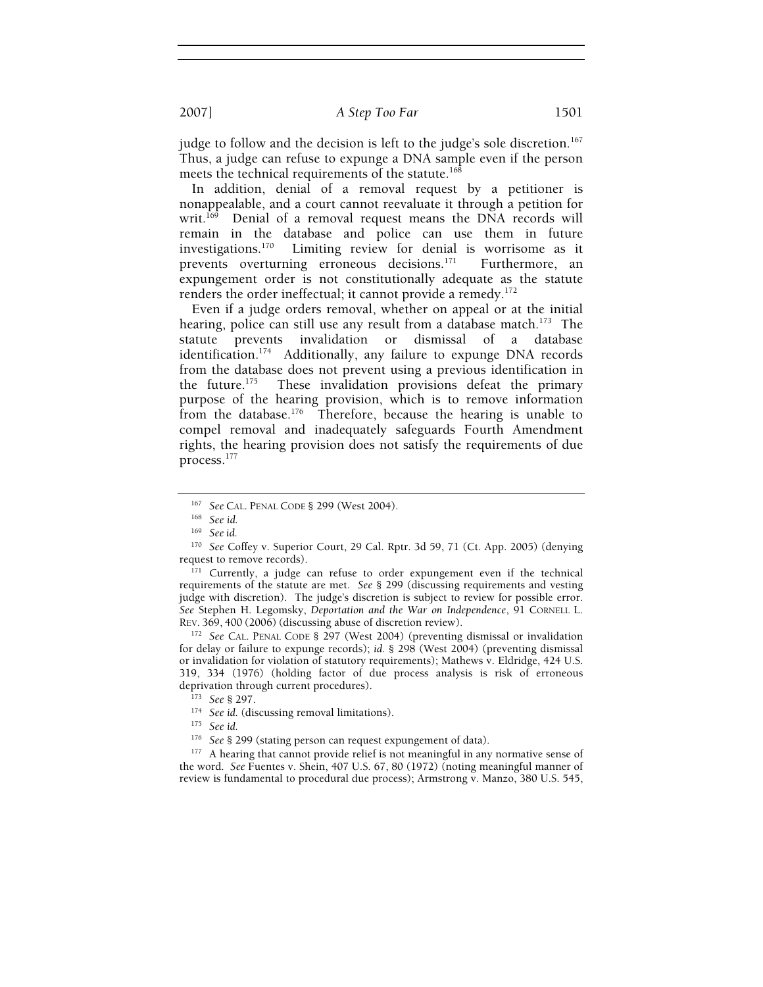judge to follow and the decision is left to the judge's sole discretion.<sup>167</sup> Thus, a judge can refuse to expunge a DNA sample even if the person meets the technical requirements of the statute.<sup>168</sup>

In addition, denial of a removal request by a petitioner is nonappealable, and a court cannot reevaluate it through a petition for writ.<sup>169</sup> Denial of a removal request means the DNA records will remain in the database and police can use them in future investigations.170 Limiting review for denial is worrisome as it prevents overturning erroneous decisions.<sup>171</sup> Furthermore, an expungement order is not constitutionally adequate as the statute renders the order ineffectual; it cannot provide a remedy.<sup>172</sup>

Even if a judge orders removal, whether on appeal or at the initial hearing, police can still use any result from a database match.<sup>173</sup> The statute prevents invalidation or dismissal of a database identification.<sup>174</sup> Additionally, any failure to expunge DNA records from the database does not prevent using a previous identification in the future.<sup>175</sup> These invalidation provisions defeat the primary purpose of the hearing provision, which is to remove information from the database.<sup>176</sup> Therefore, because the hearing is unable to compel removal and inadequately safeguards Fourth Amendment rights, the hearing provision does not satisfy the requirements of due process.177

 $171$  Currently, a judge can refuse to order expungement even if the technical requirements of the statute are met. *See* § 299 (discussing requirements and vesting judge with discretion). The judge's discretion is subject to review for possible error. *See* Stephen H. Legomsky, *Deportation and the War on Independence*, 91 CORNELL L.

<sup>172</sup> See CAL. PENAL CODE § 297 (West 2004) (preventing dismissal or invalidation for delay or failure to expunge records); *id.* § 298 (West 2004) (preventing dismissal or invalidation for violation of statutory requirements); Mathews v. Eldridge, 424 U.S. 319, 334 (1976) (holding factor of due process analysis is risk of erroneous

<sup>177</sup> A hearing that cannot provide relief is not meaningful in any normative sense of the word. *See* Fuentes v. Shein, 407 U.S. 67, 80 (1972) (noting meaningful manner of review is fundamental to procedural due process); Armstrong v. Manzo, 380 U.S. 545,

<sup>167</sup> *See* CAL. PENAL CODE § 299 (West 2004). 168 *See id.*

<sup>169</sup> *See id.*

<sup>&</sup>lt;sup>170</sup> See Coffey v. Superior Court, 29 Cal. Rptr. 3d 59, 71 (Ct. App. 2005) (denying request to remove records).

<sup>173</sup> See § 297.<br>
<sup>174</sup> See *id.* (discussing removal limitations).<br>
<sup>175</sup> See *id.*<br>
<sup>176</sup> See § 299 (stating person can request expungement of data).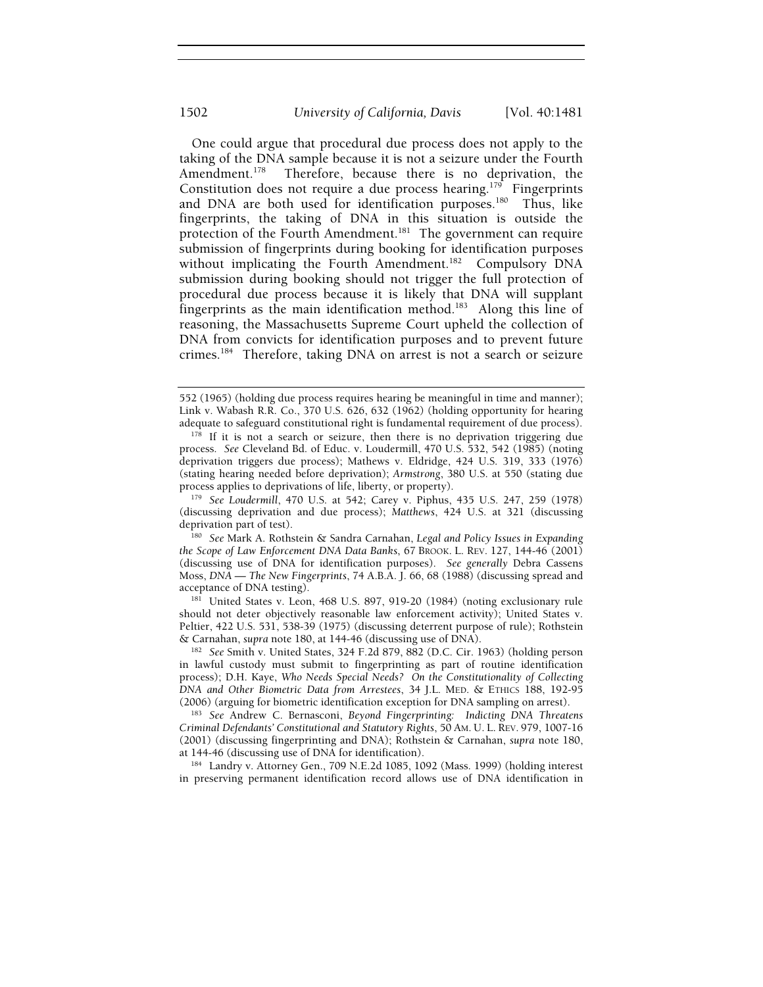One could argue that procedural due process does not apply to the taking of the DNA sample because it is not a seizure under the Fourth Amendment.<sup>178</sup> Therefore, because there is no deprivation, the Constitution does not require a due process hearing.<sup>179</sup> Fingerprints and DNA are both used for identification purposes.180 Thus, like fingerprints, the taking of DNA in this situation is outside the protection of the Fourth Amendment.<sup>181</sup> The government can require submission of fingerprints during booking for identification purposes without implicating the Fourth Amendment.<sup>182</sup> Compulsory DNA submission during booking should not trigger the full protection of procedural due process because it is likely that DNA will supplant fingerprints as the main identification method.183 Along this line of reasoning, the Massachusetts Supreme Court upheld the collection of DNA from convicts for identification purposes and to prevent future crimes.184 Therefore, taking DNA on arrest is not a search or seizure

should not deter objectively reasonable law enforcement activity); United States v. Peltier, 422 U.S. 531, 538-39 (1975) (discussing deterrent purpose of rule); Rothstein & Carnahan, *supra* note 180, at 144-46 (discussing use of DNA). 182 *See* Smith v. United States, 324 F.2d 879, 882 (D.C. Cir. 1963) (holding person

in lawful custody must submit to fingerprinting as part of routine identification process); D.H. Kaye, *Who Needs Special Needs? On the Constitutionality of Collecting DNA and Other Biometric Data from Arrestees*, 34 J.L. MED. & ETHICS 188, 192-95 (2006) (arguing for biometric identification exception for DNA sampling on arrest). 183 *See* Andrew C. Bernasconi, *Beyond Fingerprinting: Indicting DNA Threatens* 

*Criminal Defendants' Constitutional and Statutory Rights*, 50 AM. U. L. REV. 979, 1007-16 (2001) (discussing fingerprinting and DNA); Rothstein & Carnahan, *supra* note 180,

<sup>184</sup> Landry v. Attorney Gen., 709 N.E.2d 1085, 1092 (Mass. 1999) (holding interest in preserving permanent identification record allows use of DNA identification in

<sup>552 (1965) (</sup>holding due process requires hearing be meaningful in time and manner); Link v. Wabash R.R. Co., 370 U.S. 626, 632 (1962) (holding opportunity for hearing adequate to safeguard constitutional right is fundamental requirement of due process).<br><sup>178</sup> If it is not a search or seizure, then there is no deprivation triggering due

process. *See* Cleveland Bd. of Educ. v. Loudermill, 470 U.S. 532, 542 (1985) (noting deprivation triggers due process); Mathews v. Eldridge, 424 U.S. 319, 333 (1976) (stating hearing needed before deprivation); *Armstrong*, 380 U.S. at 550 (stating due

<sup>&</sup>lt;sup>179</sup> See Loudermill, 470 U.S. at 542; Carey v. Piphus, 435 U.S. 247, 259 (1978) (discussing deprivation and due process); *Matthews*, 424 U.S. at 321 (discussing

<sup>&</sup>lt;sup>180</sup> See Mark A. Rothstein & Sandra Carnahan, *Legal and Policy Issues in Expanding the Scope of Law Enforcement DNA Data Banks*, 67 BROOK. L. REV. 127, 144-46 (2001) (discussing use of DNA for identification purposes). *See generally* Debra Cassens Moss, *DNA — The New Fingerprints*, 74 A.B.A. J. 66, 68 (1988) (discussing spread and acceptance of DNA testing).<br><sup>181</sup> United States v. Leon, 468 U.S. 897, 919-20 (1984) (noting exclusionary rule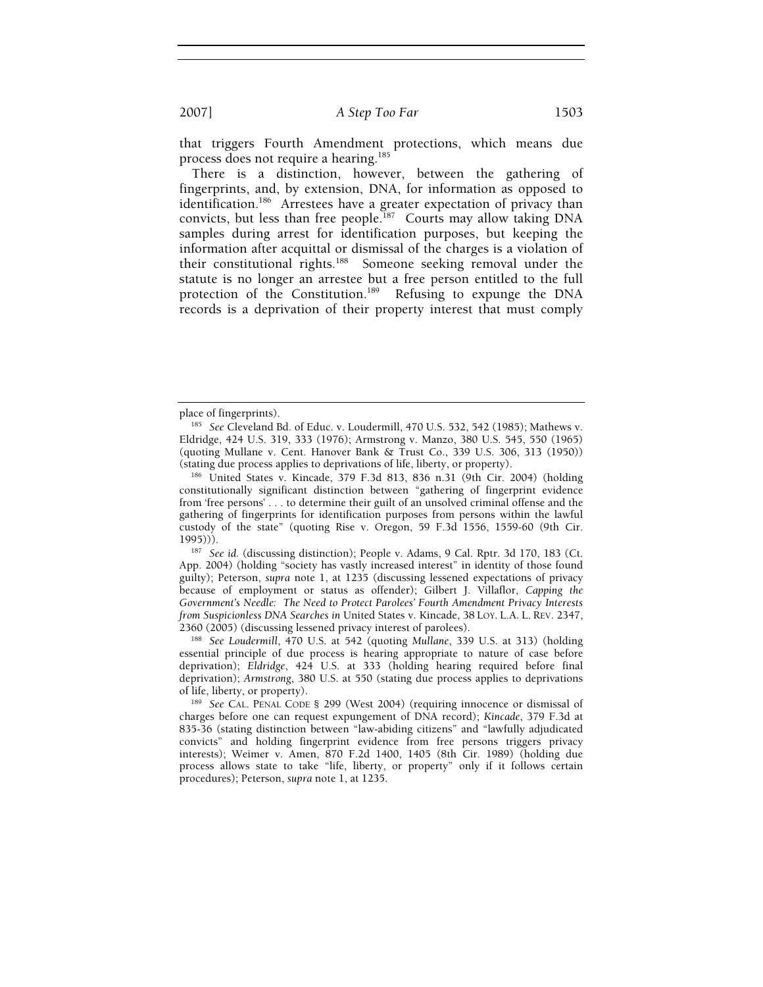that triggers Fourth Amendment protections, which means due process does not require a hearing.<sup>185</sup>

There is a distinction, however, between the gathering of fingerprints, and, by extension, DNA, for information as opposed to identification.<sup>186</sup> Arrestees have a greater expectation of privacy than convicts, but less than free people.<sup>187</sup> Courts may allow taking DNA samples during arrest for identification purposes, but keeping the information after acquittal or dismissal of the charges is a violation of their constitutional rights.188 Someone seeking removal under the statute is no longer an arrestee but a free person entitled to the full protection of the Constitution.<sup>189</sup> Refusing to expunge the DNA records is a deprivation of their property interest that must comply

place of fingerprints).<br><sup>185</sup> See Cleveland Bd. of Educ. v. Loudermill, 470 U.S. 532, 542 (1985); Mathews v. Eldridge, 424 U.S. 319, 333 (1976); Armstrong v. Manzo, 380 U.S. 545, 550 (1965) (quoting Mullane v. Cent. Hanover Bank & Trust Co., 339 U.S. 306, 313 (1950)) (stating due process applies to deprivations of life, liberty, or property).

 $186$  United States v. Kincade, 379 F.3d 813, 836 n.31 (9th Cir. 2004) (holding constitutionally significant distinction between "gathering of fingerprint evidence from 'free persons' . . . to determine their guilt of an unsolved criminal offense and the gathering of fingerprints for identification purposes from persons within the lawful custody of the state" (quoting Rise v. Oregon, 59 F.3d 1556, 1559-60 (9th Cir. 1995))). 187 *See id.* (discussing distinction); People v. Adams, 9 Cal. Rptr. 3d 170, 183 (Ct.

App. 2004) (holding "society has vastly increased interest" in identity of those found guilty); Peterson, *supra* note 1, at 1235 (discussing lessened expectations of privacy because of employment or status as offender); Gilbert J. Villaflor, *Capping the Government's Needle: The Need to Protect Parolees' Fourth Amendment Privacy Interests from Suspicionless DNA Searches in* United States v. Kincade, 38 LOY. L.A. L. REV. 2347, 2360 (2005) (discussing lessened privacy interest of parolees). 188 *See Loudermill*, 470 U.S. at 542 (quoting *Mullane*, 339 U.S. at 313) (holding

essential principle of due process is hearing appropriate to nature of case before deprivation); *Eldridge*, 424 U.S. at 333 (holding hearing required before final deprivation); *Armstrong*, 380 U.S. at 550 (stating due process applies to deprivations of life, liberty, or property). 189 *See* CAL. PENAL CODE § 299 (West 2004) (requiring innocence or dismissal of

charges before one can request expungement of DNA record); *Kincade*, 379 F.3d at 835-36 (stating distinction between "law-abiding citizens" and "lawfully adjudicated convicts" and holding fingerprint evidence from free persons triggers privacy interests); Weimer v. Amen, 870 F.2d 1400, 1405 (8th Cir. 1989) (holding due process allows state to take "life, liberty, or property" only if it follows certain procedures); Peterson, *supra* note 1, at 1235.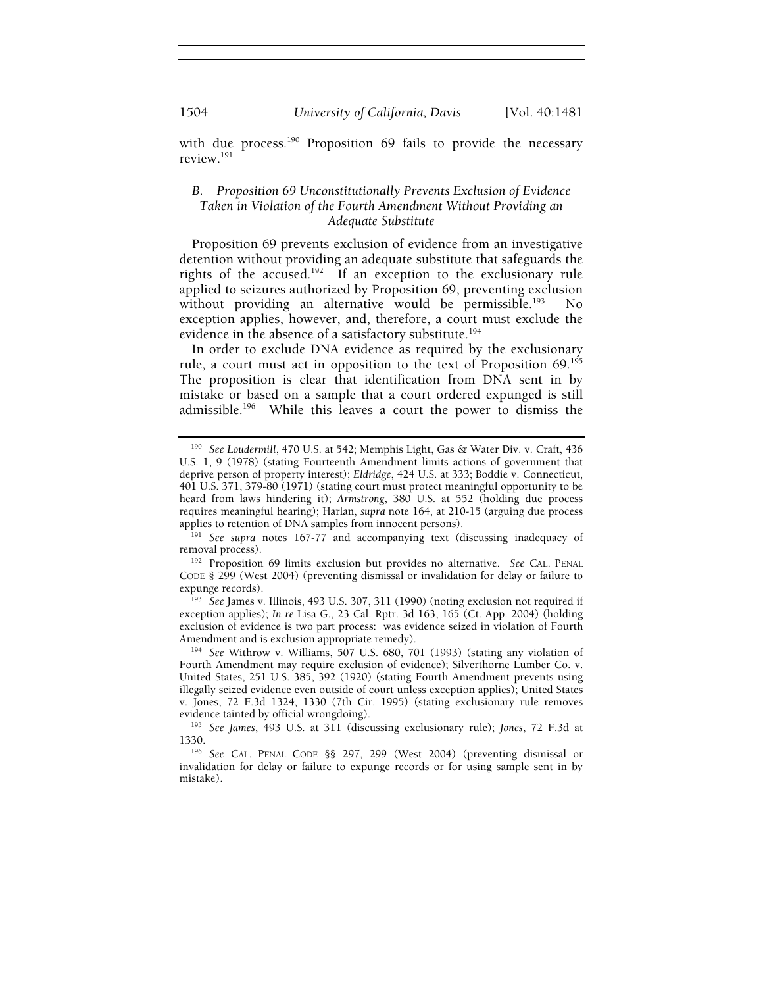with due process.<sup>190</sup> Proposition 69 fails to provide the necessary review.191

## *B. Proposition 69 Unconstitutionally Prevents Exclusion of Evidence Taken in Violation of the Fourth Amendment Without Providing an Adequate Substitute*

Proposition 69 prevents exclusion of evidence from an investigative detention without providing an adequate substitute that safeguards the rights of the accused.192 If an exception to the exclusionary rule applied to seizures authorized by Proposition 69, preventing exclusion without providing an alternative would be permissible.<sup>193</sup> No exception applies, however, and, therefore, a court must exclude the evidence in the absence of a satisfactory substitute.<sup>194</sup>

In order to exclude DNA evidence as required by the exclusionary rule, a court must act in opposition to the text of Proposition 69.195 The proposition is clear that identification from DNA sent in by mistake or based on a sample that a court ordered expunged is still admissible.196 While this leaves a court the power to dismiss the

<sup>190</sup> *See Loudermill*, 470 U.S. at 542; Memphis Light, Gas & Water Div. v. Craft, 436 U.S. 1, 9 (1978) (stating Fourteenth Amendment limits actions of government that deprive person of property interest); *Eldridge*, 424 U.S. at 333; Boddie v. Connecticut, 401 U.S. 371, 379-80 (1971) (stating court must protect meaningful opportunity to be heard from laws hindering it); *Armstrong*, 380 U.S. at 552 (holding due process requires meaningful hearing); Harlan, *supra* note 164, at 210-15 (arguing due process

<sup>&</sup>lt;sup>191</sup> See supra notes 167-77 and accompanying text (discussing inadequacy of removal process).

<sup>&</sup>lt;sup>192</sup> Proposition 69 limits exclusion but provides no alternative. See CAL. PENAL CODE § 299 (West 2004) (preventing dismissal or invalidation for delay or failure to expunge records). 193 *See* James v. Illinois, 493 U.S. 307, 311 (1990) (noting exclusion not required if

exception applies); *In re* Lisa G., 23 Cal. Rptr. 3d 163, 165 (Ct. App. 2004) (holding exclusion of evidence is two part process: was evidence seized in violation of Fourth

<sup>&</sup>lt;sup>194</sup> See Withrow v. Williams, 507 U.S. 680, 701 (1993) (stating any violation of Fourth Amendment may require exclusion of evidence); Silverthorne Lumber Co. v. United States, 251 U.S. 385, 392 (1920) (stating Fourth Amendment prevents using illegally seized evidence even outside of court unless exception applies); United States v. Jones, 72 F.3d 1324, 1330 (7th Cir. 1995) (stating exclusionary rule removes evidence tainted by official wrongdoing). 195 *See James*, 493 U.S. at 311 (discussing exclusionary rule); *Jones*, 72 F.3d at

<sup>1330. 196</sup> *See* CAL. PENAL CODE §§ 297, 299 (West 2004) (preventing dismissal or

invalidation for delay or failure to expunge records or for using sample sent in by mistake).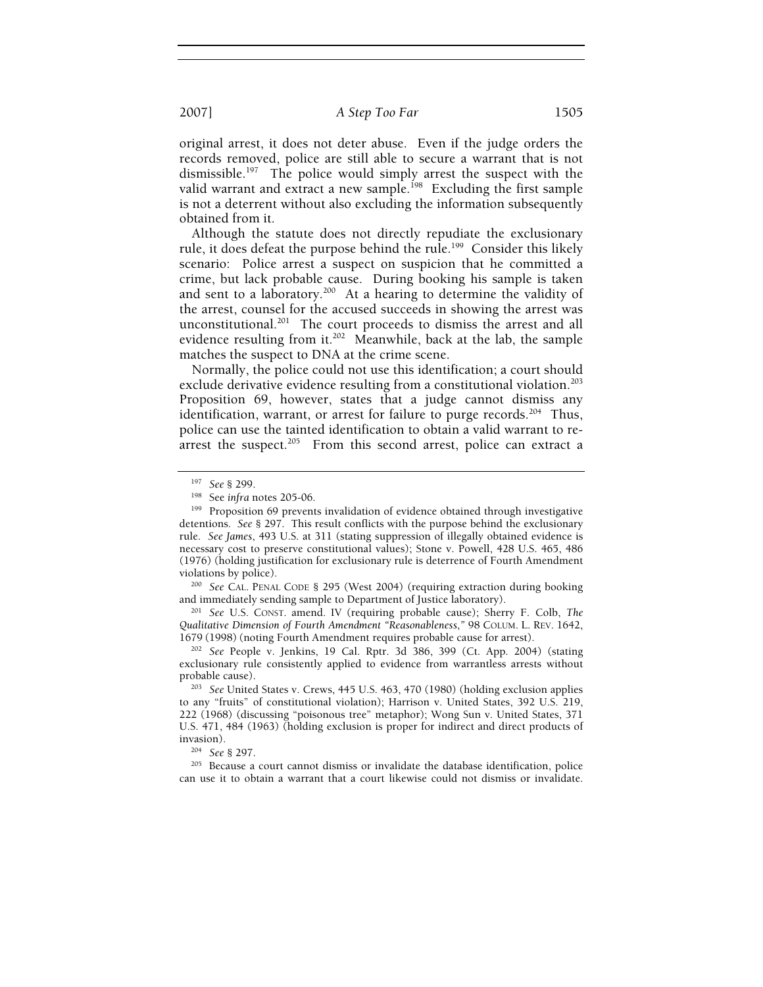original arrest, it does not deter abuse. Even if the judge orders the records removed, police are still able to secure a warrant that is not

dismissible.<sup>197</sup> The police would simply arrest the suspect with the valid warrant and extract a new sample.<sup>198</sup> Excluding the first sample is not a deterrent without also excluding the information subsequently obtained from it.

Although the statute does not directly repudiate the exclusionary rule, it does defeat the purpose behind the rule.<sup>199</sup> Consider this likely scenario: Police arrest a suspect on suspicion that he committed a crime, but lack probable cause. During booking his sample is taken and sent to a laboratory.<sup>200</sup> At a hearing to determine the validity of the arrest, counsel for the accused succeeds in showing the arrest was unconstitutional.<sup>201</sup> The court proceeds to dismiss the arrest and all evidence resulting from it.<sup>202</sup> Meanwhile, back at the lab, the sample matches the suspect to DNA at the crime scene.

Normally, the police could not use this identification; a court should exclude derivative evidence resulting from a constitutional violation.<sup>203</sup> Proposition 69, however, states that a judge cannot dismiss any identification, warrant, or arrest for failure to purge records.<sup>204</sup> Thus, police can use the tainted identification to obtain a valid warrant to rearrest the suspect. $205$  From this second arrest, police can extract a

and immediately sending sample to Department of Justice laboratory). 201 *See* U.S. CONST. amend. IV (requiring probable cause); Sherry F. Colb, *The* 

*Qualitative Dimension of Fourth Amendment "Reasonableness*,*"* 98 COLUM. L. REV. 1642,

<sup>202</sup> See People v. Jenkins, 19 Cal. Rptr. 3d 386, 399 (Ct. App. 2004) (stating exclusionary rule consistently applied to evidence from warrantless arrests without probable cause). 203 *See* United States v. Crews, 445 U.S. 463, 470 (1980) (holding exclusion applies

to any "fruits" of constitutional violation); Harrison v. United States, 392 U.S. 219, 222 (1968) (discussing "poisonous tree" metaphor); Wong Sun v. United States, 371 U.S. 471, 484 (1963) (holding exclusion is proper for indirect and direct products of

<sup>204</sup> See § 297.<br><sup>205</sup> Because a court cannot dismiss or invalidate the database identification, police can use it to obtain a warrant that a court likewise could not dismiss or invalidate.

<sup>&</sup>lt;sup>197</sup> See § 299.<br><sup>198</sup> See *infra* notes 205-06.<br><sup>199</sup> Proposition 69 prevents invalidation of evidence obtained through investigative detentions. *See* § 297. This result conflicts with the purpose behind the exclusionary rule. *See James*, 493 U.S. at 311 (stating suppression of illegally obtained evidence is necessary cost to preserve constitutional values); Stone v. Powell, 428 U.S. 465, 486 (1976) (holding justification for exclusionary rule is deterrence of Fourth Amendment violations by police). 200 *See* CAL. PENAL CODE § 295 (West 2004) (requiring extraction during booking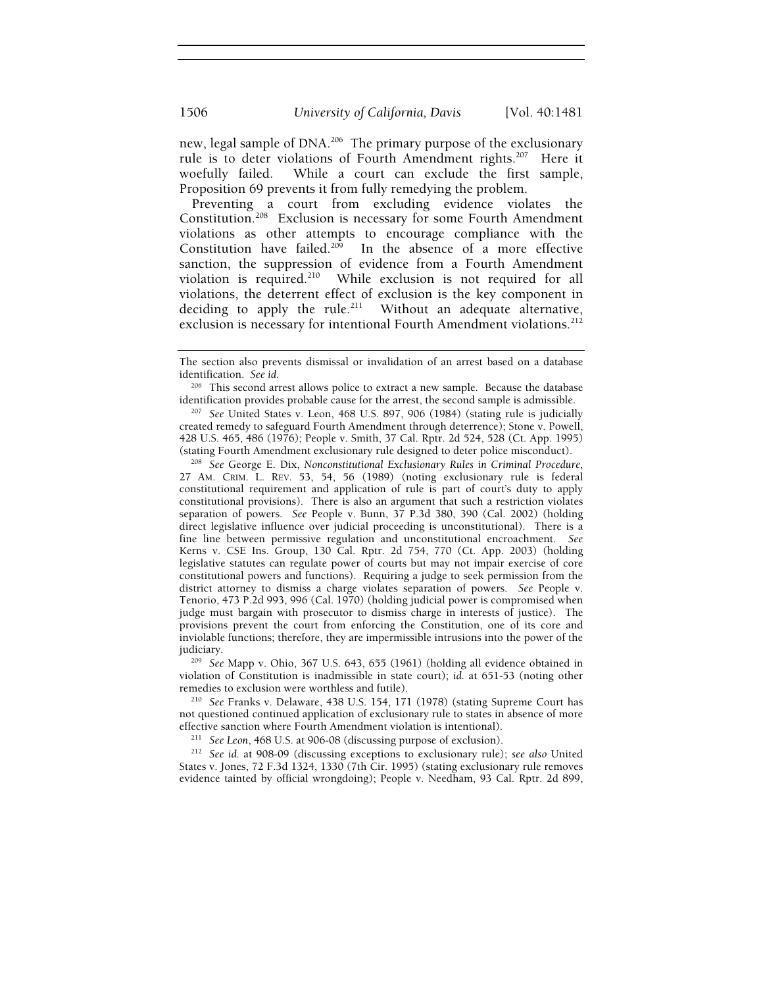new, legal sample of DNA.<sup>206</sup> The primary purpose of the exclusionary rule is to deter violations of Fourth Amendment rights.207 Here it woefully failed. While a court can exclude the first sample, Proposition 69 prevents it from fully remedying the problem.

Preventing a court from excluding evidence violates the Constitution.208 Exclusion is necessary for some Fourth Amendment violations as other attempts to encourage compliance with the Constitution have failed.<sup>209</sup> In the absence of a more effective sanction, the suppression of evidence from a Fourth Amendment violation is required.210 While exclusion is not required for all violations, the deterrent effect of exclusion is the key component in deciding to apply the rule.<sup>211</sup> Without an adequate alternative, exclusion is necessary for intentional Fourth Amendment violations.<sup>212</sup>

<sup>208</sup> See George E. Dix, *Nonconstitutional Exclusionary Rules in Criminal Procedure*, 27 AM. CRIM. L. REV. 53, 54, 56 (1989) (noting exclusionary rule is federal constitutional requirement and application of rule is part of court's duty to apply constitutional provisions). There is also an argument that such a restriction violates separation of powers. *See* People v. Bunn, 37 P.3d 380, 390 (Cal. 2002) (holding direct legislative influence over judicial proceeding is unconstitutional). There is a fine line between permissive regulation and unconstitutional encroachment. *See* Kerns v. CSE Ins. Group, 130 Cal. Rptr. 2d 754, 770 (Ct. App. 2003) (holding legislative statutes can regulate power of courts but may not impair exercise of core constitutional powers and functions). Requiring a judge to seek permission from the district attorney to dismiss a charge violates separation of powers. *See* People v. Tenorio, 473 P.2d 993, 996 (Cal. 1970) (holding judicial power is compromised when judge must bargain with prosecutor to dismiss charge in interests of justice). The provisions prevent the court from enforcing the Constitution, one of its core and inviolable functions; therefore, they are impermissible intrusions into the power of the

judiciary. 209 *See* Mapp v. Ohio, 367 U.S. 643, 655 (1961) (holding all evidence obtained in violation of Constitution is inadmissible in state court); *id.* at 651-53 (noting other

<sup>210</sup> See Franks v. Delaware, 438 U.S. 154, 171 (1978) (stating Supreme Court has not questioned continued application of exclusionary rule to states in absence of more

<sup>211</sup> See Leon, 468 U.S. at 906-08 (discussing purpose of exclusion).<br><sup>212</sup> See id. at 908-09 (discussing exceptions to exclusionary rule); see also United States v. Jones, 72 F.3d 1324, 1330 (7th Cir. 1995) (stating exclusionary rule removes evidence tainted by official wrongdoing); People v. Needham, 93 Cal. Rptr. 2d 899,

The section also prevents dismissal or invalidation of an arrest based on a database identification. *See id.*

<sup>&</sup>lt;sup>206</sup> This second arrest allows police to extract a new sample. Because the database identification provides probable cause for the arrest, the second sample is admissible. 207 *See* United States v. Leon, 468 U.S. 897, 906 (1984) (stating rule is judicially

created remedy to safeguard Fourth Amendment through deterrence); Stone v. Powell, 428 U.S. 465, 486 (1976); People v. Smith, 37 Cal. Rptr. 2d 524, 528 (Ct. App. 1995)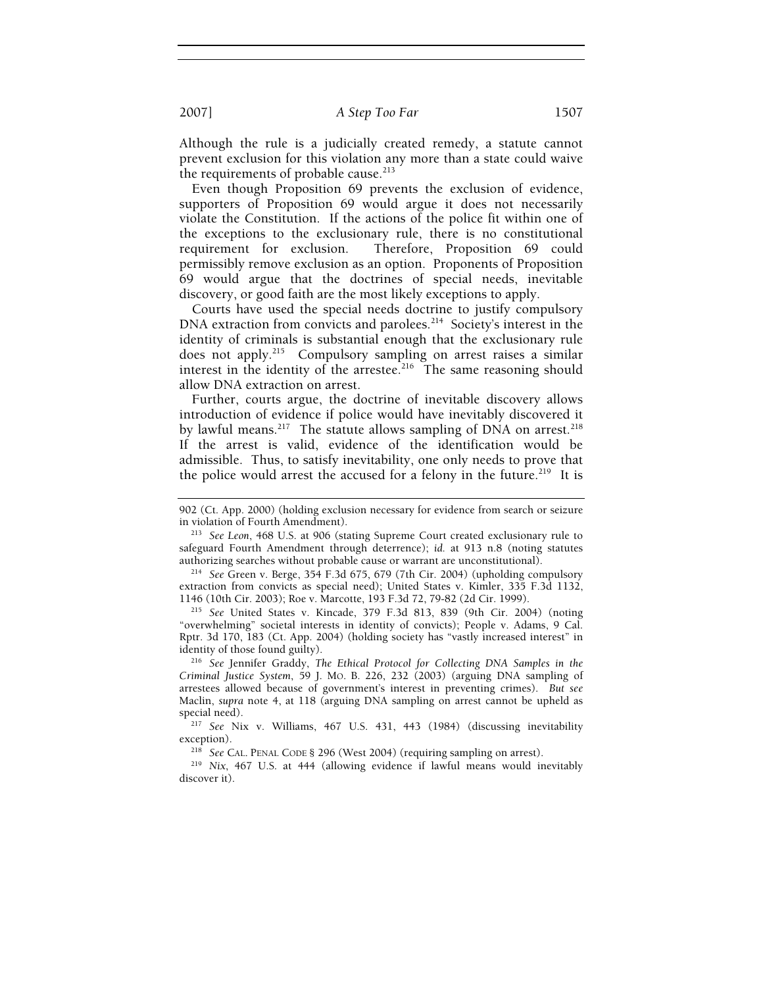Although the rule is a judicially created remedy, a statute cannot prevent exclusion for this violation any more than a state could waive the requirements of probable cause. $213$ 

Even though Proposition 69 prevents the exclusion of evidence, supporters of Proposition 69 would argue it does not necessarily violate the Constitution. If the actions of the police fit within one of the exceptions to the exclusionary rule, there is no constitutional requirement for exclusion. Therefore, Proposition 69 could permissibly remove exclusion as an option. Proponents of Proposition 69 would argue that the doctrines of special needs, inevitable discovery, or good faith are the most likely exceptions to apply.

Courts have used the special needs doctrine to justify compulsory DNA extraction from convicts and parolees.<sup>214</sup> Society's interest in the identity of criminals is substantial enough that the exclusionary rule does not apply.215 Compulsory sampling on arrest raises a similar interest in the identity of the arrestee.<sup>216</sup> The same reasoning should allow DNA extraction on arrest.

Further, courts argue, the doctrine of inevitable discovery allows introduction of evidence if police would have inevitably discovered it by lawful means.<sup>217</sup> The statute allows sampling of DNA on arrest.<sup>218</sup> If the arrest is valid, evidence of the identification would be admissible. Thus, to satisfy inevitability, one only needs to prove that the police would arrest the accused for a felony in the future.<sup>219</sup> It is

extraction from convicts as special need); United States v. Kimler, 335 F.3d 1132, 1146 (10th Cir. 2003); Roe v. Marcotte, 193 F.3d 72, 79-82 (2d Cir. 1999). 215 *See* United States v. Kincade, 379 F.3d 813, 839 (9th Cir. 2004) (noting

"overwhelming" societal interests in identity of convicts); People v. Adams, 9 Cal. Rptr. 3d 170, 183 (Ct. App. 2004) (holding society has "vastly increased interest" in identity of those found guilty). 216 *See* Jennifer Graddy, *The Ethical Protocol for Collecting DNA Samples in the* 

*Criminal Justice System*, 59 J. MO. B. 226, 232 (2003) (arguing DNA sampling of arrestees allowed because of government's interest in preventing crimes). *But see* Maclin, *supra* note 4, at 118 (arguing DNA sampling on arrest cannot be upheld as

<sup>217</sup> See Nix v. Williams, 467 U.S. 431, 443 (1984) (discussing inevitability

exception).<br><sup>218</sup> See CAL. PENAL CODE § 296 (West 2004) (requiring sampling on arrest).<br><sup>219</sup> Nix, 467 U.S. at 444 (allowing evidence if lawful means would inevitably discover it).

<sup>902 (</sup>Ct. App. 2000) (holding exclusion necessary for evidence from search or seizure in violation of Fourth Amendment). 213 *See Leon*, 468 U.S. at 906 (stating Supreme Court created exclusionary rule to

safeguard Fourth Amendment through deterrence); *id.* at 913 n.8 (noting statutes authorizing searches without probable cause or warrant are unconstitutional). 214 *See* Green v. Berge, 354 F.3d 675, 679 (7th Cir. 2004) (upholding compulsory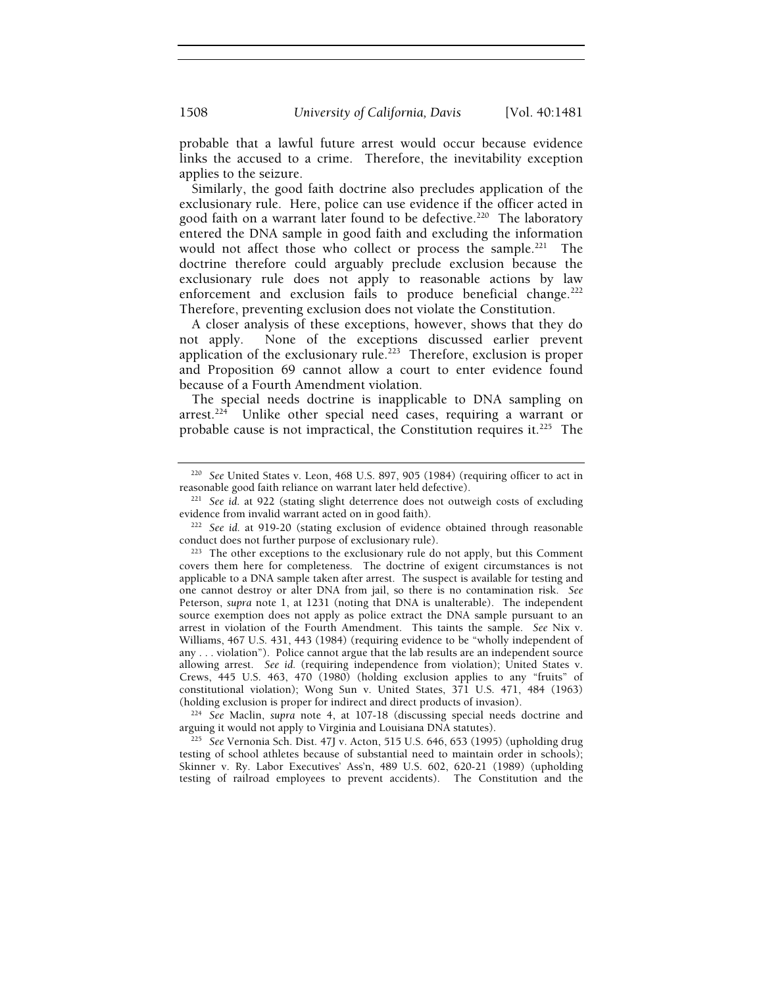probable that a lawful future arrest would occur because evidence links the accused to a crime. Therefore, the inevitability exception applies to the seizure.

Similarly, the good faith doctrine also precludes application of the exclusionary rule. Here, police can use evidence if the officer acted in good faith on a warrant later found to be defective.<sup>220</sup> The laboratory entered the DNA sample in good faith and excluding the information would not affect those who collect or process the sample.<sup>221</sup> The doctrine therefore could arguably preclude exclusion because the exclusionary rule does not apply to reasonable actions by law enforcement and exclusion fails to produce beneficial change. $222$ Therefore, preventing exclusion does not violate the Constitution.

A closer analysis of these exceptions, however, shows that they do not apply. None of the exceptions discussed earlier prevent application of the exclusionary rule.<sup>223</sup> Therefore, exclusion is proper and Proposition 69 cannot allow a court to enter evidence found because of a Fourth Amendment violation.

The special needs doctrine is inapplicable to DNA sampling on arrest.<sup>224</sup> Unlike other special need cases, requiring a warrant or probable cause is not impractical, the Constitution requires it. $^{225}$  The

(holding exclusion is proper for indirect and direct products of invasion).<br><sup>224</sup> See Maclin, *supra* note 4, at 107-18 (discussing special needs doctrine and arguing it would not apply to Virginia and Louisiana DNA statut

<sup>225</sup> See Vernonia Sch. Dist. 47J v. Acton, 515 U.S. 646, 653 (1995) (upholding drug testing of school athletes because of substantial need to maintain order in schools); Skinner v. Ry. Labor Executives' Ass'n, 489 U.S. 602, 620-21 (1989) (upholding testing of railroad employees to prevent accidents). The Constitution and the

<sup>220</sup> *See* United States v. Leon, 468 U.S. 897, 905 (1984) (requiring officer to act in

reasonable good faith reliance on warrant later held defective).<br><sup>221</sup> See id. at 922 (stating slight deterrence does not outweigh costs of excluding evidence from invalid warrant acted on in good faith).

<sup>&</sup>lt;sup>222</sup> See id. at 919-20 (stating exclusion of evidence obtained through reasonable conduct does not further purpose of exclusionary rule).

 $223$  The other exceptions to the exclusionary rule do not apply, but this Comment covers them here for completeness. The doctrine of exigent circumstances is not applicable to a DNA sample taken after arrest. The suspect is available for testing and one cannot destroy or alter DNA from jail, so there is no contamination risk. *See*  Peterson, *supra* note 1, at 1231 (noting that DNA is unalterable). The independent source exemption does not apply as police extract the DNA sample pursuant to an arrest in violation of the Fourth Amendment. This taints the sample. *See* Nix v. Williams, 467 U.S. 431, 443 (1984) (requiring evidence to be "wholly independent of any . . . violation"). Police cannot argue that the lab results are an independent source allowing arrest. *See id.* (requiring independence from violation); United States v. Crews, 445 U.S. 463, 470 (1980) (holding exclusion applies to any "fruits" of constitutional violation); Wong Sun v. United States, 371 U.S. 471, 484 (1963)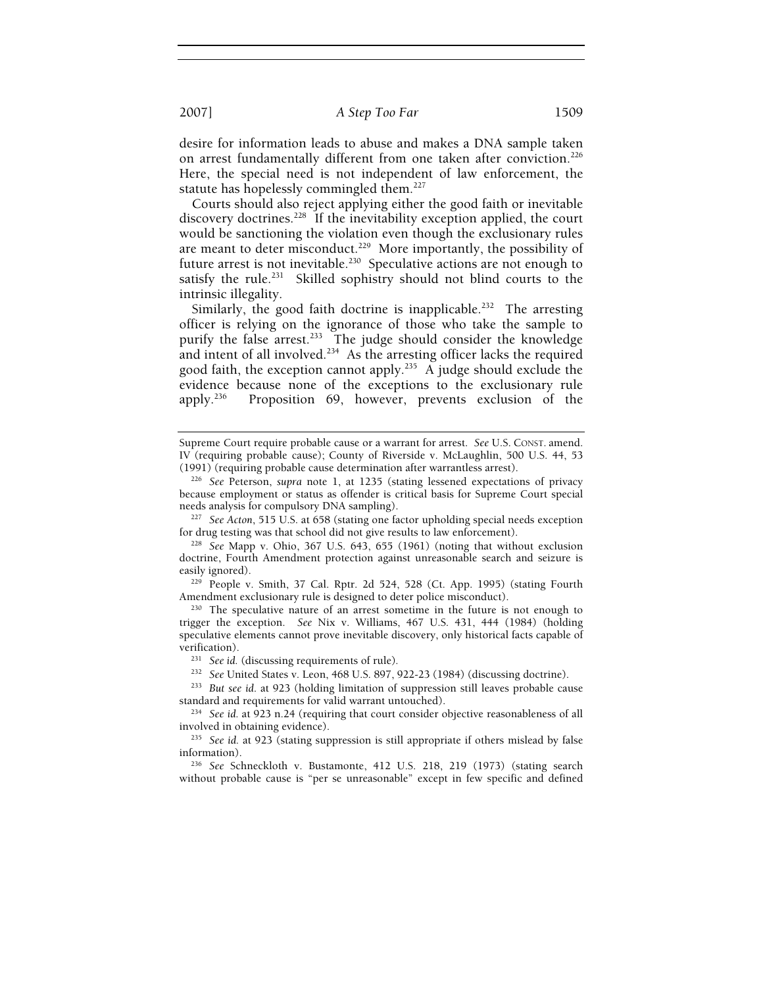desire for information leads to abuse and makes a DNA sample taken on arrest fundamentally different from one taken after conviction.<sup>226</sup> Here, the special need is not independent of law enforcement, the statute has hopelessly commingled them.<sup>227</sup>

Courts should also reject applying either the good faith or inevitable discovery doctrines.<sup>228</sup> If the inevitability exception applied, the court would be sanctioning the violation even though the exclusionary rules are meant to deter misconduct.<sup>229</sup> More importantly, the possibility of future arrest is not inevitable.230 Speculative actions are not enough to satisfy the rule.<sup>231</sup> Skilled sophistry should not blind courts to the intrinsic illegality.

Similarly, the good faith doctrine is inapplicable.<sup>232</sup> The arresting officer is relying on the ignorance of those who take the sample to purify the false arrest.<sup>233</sup> The judge should consider the knowledge and intent of all involved.<sup>234</sup> As the arresting officer lacks the required good faith, the exception cannot apply.<sup>235</sup> A judge should exclude the evidence because none of the exceptions to the exclusionary rule apply.236 Proposition 69, however, prevents exclusion of the

<sup>232</sup> See United States v. Leon, 468 U.S. 897, 922-23 (1984) (discussing doctrine).<br><sup>233</sup> But see id. at 923 (holding limitation of suppression still leaves probable cause<br>standard and requirements for valid warrant untouc

Supreme Court require probable cause or a warrant for arrest. *See* U.S. CONST. amend. IV (requiring probable cause); County of Riverside v. McLaughlin, 500 U.S. 44, 53 (1991) (requiring probable cause determination after warrantless arrest).

<sup>226</sup> *See* Peterson, *supra* note 1, at 1235 (stating lessened expectations of privacy because employment or status as offender is critical basis for Supreme Court special

needs analysis for compulsory DNA sampling).<br><sup>227</sup> See Acton, 515 U.S. at 658 (stating one factor upholding special needs exception<br>for drug testing was that school did not give results to law enforcement).

 $\frac{228}{228}$  See Mapp v. Ohio, 367 U.S. 643, 655 (1961) (noting that without exclusion doctrine, Fourth Amendment protection against unreasonable search and seizure is

easily ignored).<br><sup>229</sup> People v. Smith, 37 Cal. Rptr. 2d 524, 528 (Ct. App. 1995) (stating Fourth Amendment exclusionary rule is designed to deter police misconduct).

<sup>&</sup>lt;sup>230</sup> The speculative nature of an arrest sometime in the future is not enough to trigger the exception. *See* Nix v. Williams, 467 U.S. 431, 444 (1984) (holding speculative elements cannot prove inevitable discovery, only historical facts capable of verification). 231 *See id.* (discussing requirements of rule)*.* 

<sup>&</sup>lt;sup>234</sup> See *id.* at 923 n.24 (requiring that court consider objective reasonableness of all involved in obtaining evidence).

<sup>&</sup>lt;sup>235</sup> See *id.* at 923 (stating suppression is still appropriate if others mislead by false information). 236 *See* Schneckloth v. Bustamonte, 412 U.S. 218, 219 (1973) (stating search

without probable cause is "per se unreasonable" except in few specific and defined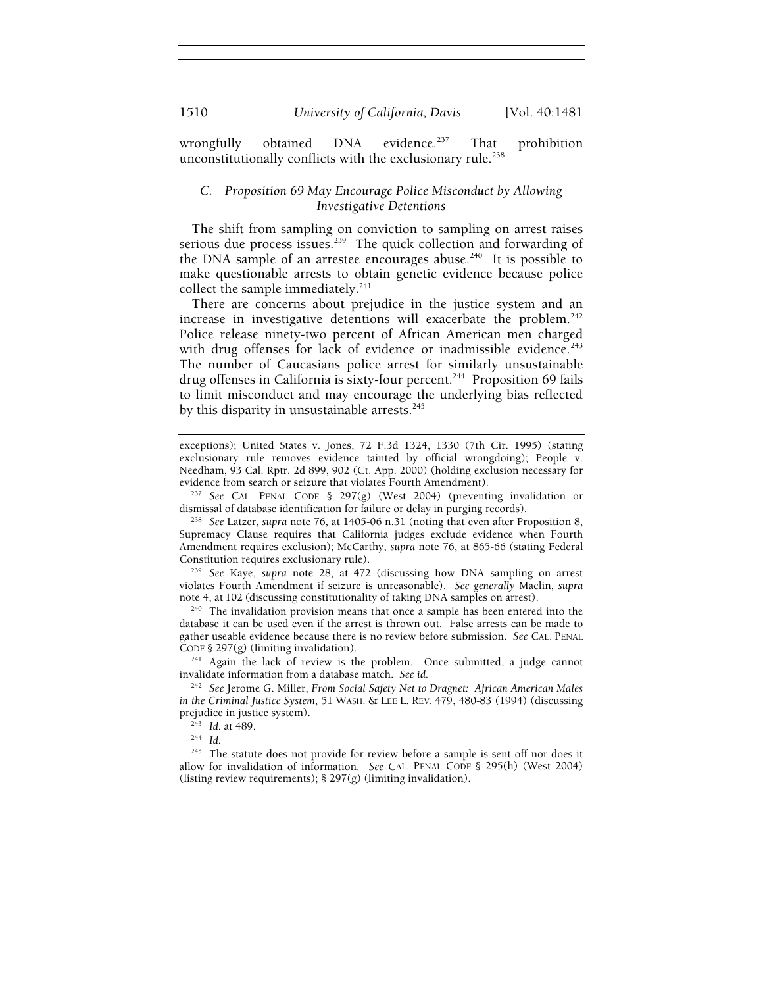wrongfully obtained  $DNA$  evidence.<sup>237</sup> That prohibition unconstitutionally conflicts with the exclusionary rule.<sup>238</sup>

## *C. Proposition 69 May Encourage Police Misconduct by Allowing Investigative Detentions*

The shift from sampling on conviction to sampling on arrest raises serious due process issues.<sup>239</sup> The quick collection and forwarding of the DNA sample of an arrestee encourages abuse.<sup>240</sup> It is possible to make questionable arrests to obtain genetic evidence because police collect the sample immediately.<sup>241</sup>

There are concerns about prejudice in the justice system and an increase in investigative detentions will exacerbate the problem.<sup>242</sup> Police release ninety-two percent of African American men charged with drug offenses for lack of evidence or inadmissible evidence.<sup>243</sup> The number of Caucasians police arrest for similarly unsustainable drug offenses in California is sixty-four percent.<sup>244</sup> Proposition 69 fails to limit misconduct and may encourage the underlying bias reflected by this disparity in unsustainable arrests. $245$ 

Supremacy Clause requires that California judges exclude evidence when Fourth Amendment requires exclusion); McCarthy, *supra* note 76, at 865-66 (stating Federal

Constitution requires exclusionary rule). 239 *See* Kaye, *supra* note 28, at <sup>472</sup> (discussing how DNA sampling on arrest violates Fourth Amendment if seizure is unreasonable). *See generally* Maclin, *supra*  note 4, at <sup>102</sup> (discussing constitutionality of taking DNA samples on arrest). 240 The invalidation provision means that once a sample has been entered into the

database it can be used even if the arrest is thrown out. False arrests can be made to gather useable evidence because there is no review before submission. *See* CAL. PENAL CODE § 297(g) (limiting invalidation).<br><sup>241</sup> Again the lack of review is the problem. Once submitted, a judge cannot

invalidate information from a database match. *See id.*

<sup>242</sup> *See* Jerome G. Miller, *From Social Safety Net to Dragnet: African American Males in the Criminal Justice System*, 51 WASH. & LEE L. REV. 479, 480-83 (1994) (discussing prejudice in justice system).<br><sup>243</sup> *Id.* at 489.<br><sup>244</sup> *Id.* 245 The statute does not provide for review before a sample is sent off nor does it

allow for invalidation of information. *See* CAL. PENAL CODE § 295(h) (West 2004) (listing review requirements); § 297(g) (limiting invalidation).

exceptions); United States v. Jones, 72 F.3d 1324, 1330 (7th Cir. 1995) (stating exclusionary rule removes evidence tainted by official wrongdoing); People v. Needham, 93 Cal. Rptr. 2d 899, 902 (Ct. App. 2000) (holding exclusion necessary for evidence from search or seizure that violates Fourth Amendment). 237 *See* CAL. PENAL CODE § 297(g) (West 2004) (preventing invalidation or

dismissal of database identification for failure or delay in purging records). 238 *See* Latzer, *supra* note 76, at 1405-06 n.31 (noting that even after Proposition 8,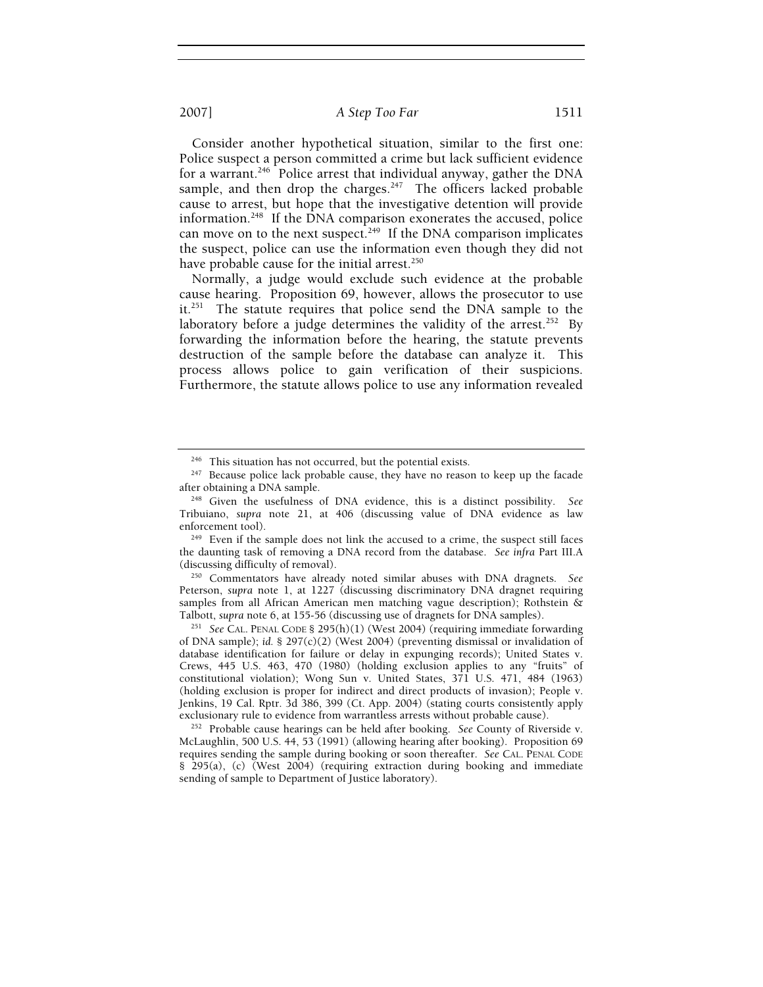Consider another hypothetical situation, similar to the first one: Police suspect a person committed a crime but lack sufficient evidence for a warrant.<sup>246</sup> Police arrest that individual anyway, gather the DNA sample, and then drop the charges. $247$  The officers lacked probable cause to arrest, but hope that the investigative detention will provide information.<sup>248</sup> If the DNA comparison exonerates the accused, police can move on to the next suspect.<sup>249</sup> If the DNA comparison implicates the suspect, police can use the information even though they did not have probable cause for the initial arrest.<sup>250</sup>

Normally, a judge would exclude such evidence at the probable cause hearing. Proposition 69, however, allows the prosecutor to use it.251 The statute requires that police send the DNA sample to the laboratory before a judge determines the validity of the arrest.<sup>252</sup> By forwarding the information before the hearing, the statute prevents destruction of the sample before the database can analyze it. This process allows police to gain verification of their suspicions. Furthermore, the statute allows police to use any information revealed

Peterson, *supra* note 1, at 1227 (discussing discriminatory DNA dragnet requiring samples from all African American men matching vague description); Rothstein & Talbott, *supra* note 6, at 155-56 (discussing use of dragnets for DNA samples).

<sup>251</sup> *See* CAL. PENAL CODE § 295(h)(1) (West 2004) (requiring immediate forwarding of DNA sample); *id.* § 297(c)(2) (West 2004) (preventing dismissal or invalidation of database identification for failure or delay in expunging records); United States v. Crews, 445 U.S. 463, 470 (1980) (holding exclusion applies to any "fruits" of constitutional violation); Wong Sun v. United States, 371 U.S. 471, 484 (1963) (holding exclusion is proper for indirect and direct products of invasion); People v. Jenkins, 19 Cal. Rptr. 3d 386, 399 (Ct. App. 2004) (stating courts consistently apply

exclusionary rule to evidence from warrantless arrests without probable cause). 252 Probable cause hearings can be held after booking. *See* County of Riverside v. McLaughlin, 500 U.S. 44, 53 (1991) (allowing hearing after booking). Proposition 69 requires sending the sample during booking or soon thereafter. *See* CAL. PENAL CODE § 295(a), (c) (West 2004) (requiring extraction during booking and immediate sending of sample to Department of Justice laboratory).

<sup>&</sup>lt;sup>246</sup> This situation has not occurred, but the potential exists.<br><sup>247</sup> Because police lack probable cause, they have no reason to keep up the facade after obtaining a DNA sample. 248 Given the usefulness of DNA evidence, this is a distinct possibility. *See*

Tribuiano, *supra* note 21, at 406 (discussing value of DNA evidence as law enforcement tool).<br><sup>249</sup> Even if the sample does not link the accused to a crime, the suspect still faces

the daunting task of removing a DNA record from the database. *See infra* Part III.A (discussing difficulty of removal). 250 Commentators have already noted similar abuses with DNA dragnets. *See*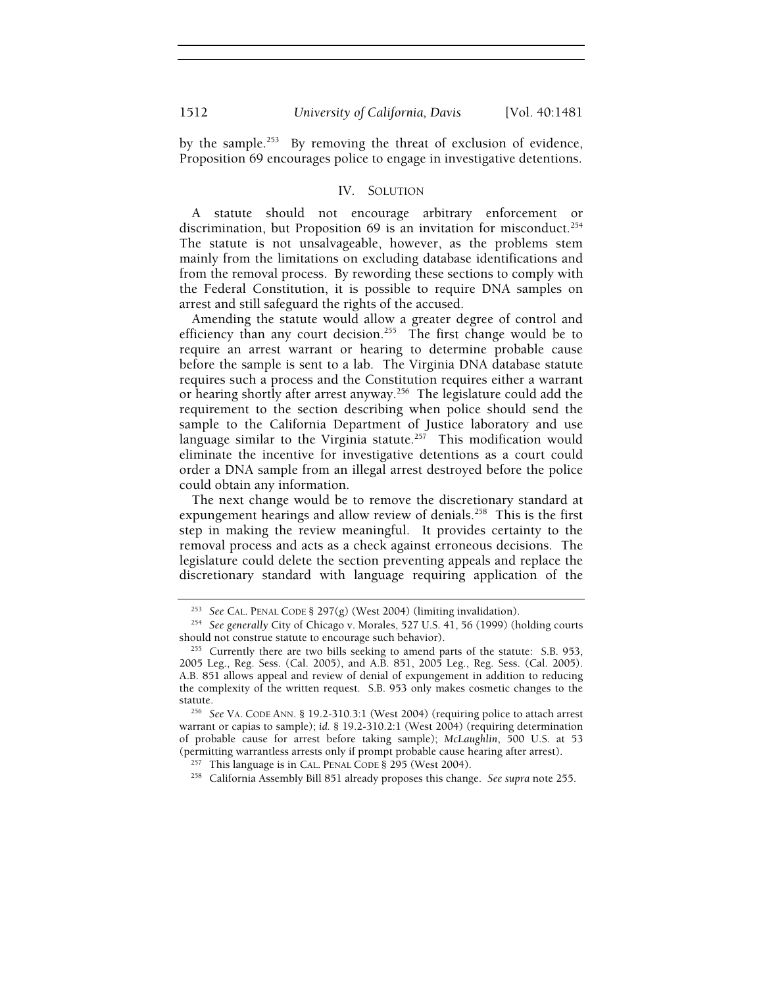by the sample. $253$  By removing the threat of exclusion of evidence, Proposition 69 encourages police to engage in investigative detentions.

#### IV. SOLUTION

A statute should not encourage arbitrary enforcement or discrimination, but Proposition  $69$  is an invitation for misconduct.<sup>254</sup> The statute is not unsalvageable, however, as the problems stem mainly from the limitations on excluding database identifications and from the removal process. By rewording these sections to comply with the Federal Constitution, it is possible to require DNA samples on arrest and still safeguard the rights of the accused.

Amending the statute would allow a greater degree of control and efficiency than any court decision.<sup>255</sup> The first change would be to require an arrest warrant or hearing to determine probable cause before the sample is sent to a lab. The Virginia DNA database statute requires such a process and the Constitution requires either a warrant or hearing shortly after arrest anyway.<sup>256</sup> The legislature could add the requirement to the section describing when police should send the sample to the California Department of Justice laboratory and use language similar to the Virginia statute.<sup>257</sup> This modification would eliminate the incentive for investigative detentions as a court could order a DNA sample from an illegal arrest destroyed before the police could obtain any information.

The next change would be to remove the discretionary standard at expungement hearings and allow review of denials.<sup>258</sup> This is the first step in making the review meaningful. It provides certainty to the removal process and acts as a check against erroneous decisions. The legislature could delete the section preventing appeals and replace the discretionary standard with language requiring application of the

<sup>253</sup> *See* CAL. PENAL CODE § 297(g) (West 2004) (limiting invalidation). 254 *See generally* City of Chicago v. Morales, 527 U.S. 41, 56 (1999) (holding courts should not construe statute to encourage such behavior).

<sup>&</sup>lt;sup>255</sup> Currently there are two bills seeking to amend parts of the statute: S.B. 953, 2005 Leg., Reg. Sess. (Cal. 2005), and A.B. 851, 2005 Leg., Reg. Sess. (Cal. 2005). A.B. 851 allows appeal and review of denial of expungement in addition to reducing the complexity of the written request. S.B. 953 only makes cosmetic changes to the statute. 256 *See* VA. CODE ANN. § 19.2-310.3:1 (West 2004) (requiring police to attach arrest

warrant or capias to sample); *id.* § 19.2-310.2:1 (West 2004) (requiring determination of probable cause for arrest before taking sample); *McLaughlin*, 500 U.S. at 53 (permitting warrantless arrests only if prompt probable cause hearing after arrest).<br><sup>257</sup> This language is in CAL. PENAL CODE § 295 (West 2004).<br><sup>258</sup> California Assembly Bill 851 already proposes this change. *See supra*